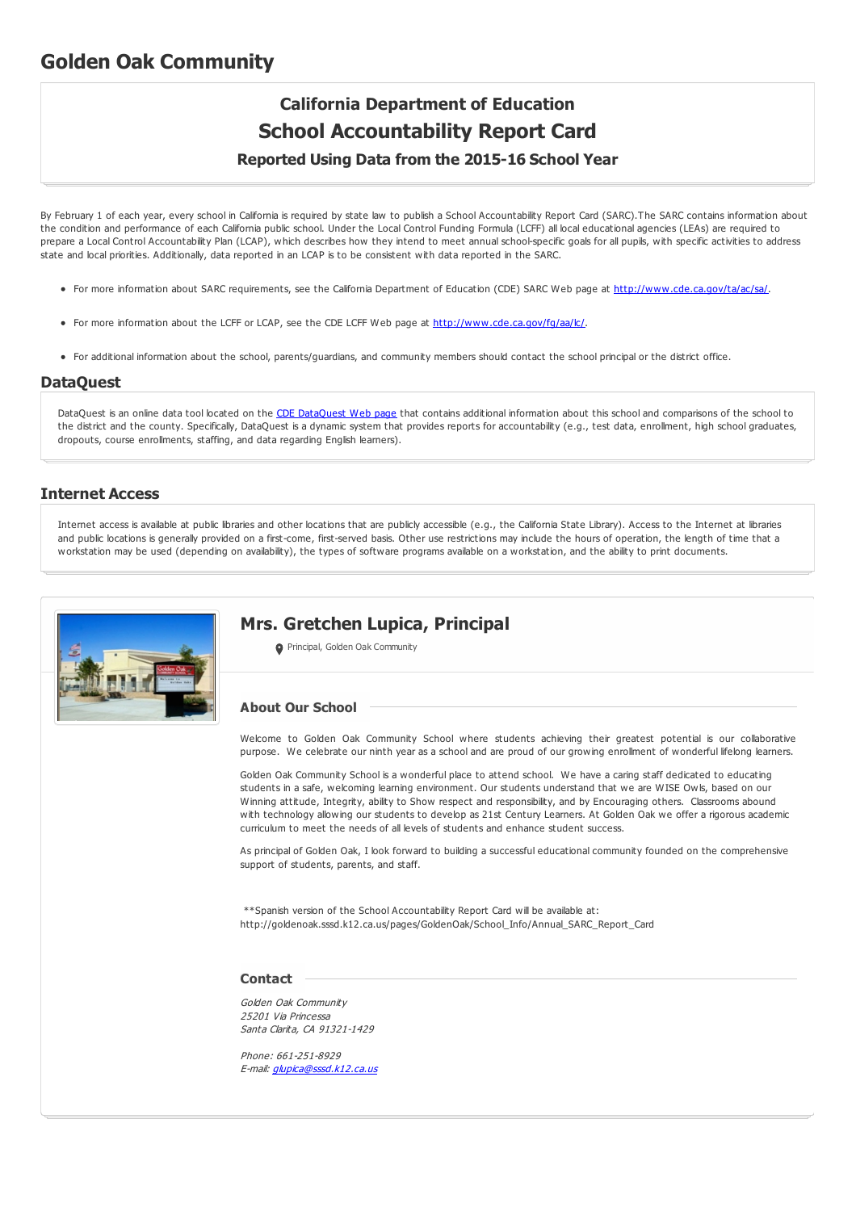# **Golden Oak Community**

# **California Department of Education School Accountability Report Card**

**Reported Using Data from the 2015-16 School Year**

By February 1 of each year, every school in California is required by state law to publish a School Accountability Report Card (SARC).The SARC contains information about the condition and performance of each California public school. Under the Local Control Funding Formula (LCFF) all local educational agencies (LEAs) are required to prepare a Local Control Accountability Plan (LCAP), which describes how they intend to meet annual school-specific goals for all pupils, with specific activities to address state and local priorities. Additionally, data reported in an LCAP is to be consistent with data reported in the SARC.

- For more information about SARC requirements, see the California Department of Education (CDE) SARC Web page at <http://www.cde.ca.gov/ta/ac/sa/>.
- For more information about the LCFF or LCAP, see the CDE LCFF Web page at <http://www.cde.ca.gov/fg/aa/lc/>.
- For additional information about the school, parents/guardians, and community members should contact the school principal or the district office.

#### **DataQuest**

[DataQuest](http://dq.cde.ca.gov/dataquest/) is an online data tool located on the CDE DataQuest Web page that contains additional information about this school and comparisons of the school to the district and the county. Specifically, DataQuest is a dynamic system that provides reports for accountability (e.g., test data, enrollment, high school graduates, dropouts, course enrollments, staffing, and data regarding English learners).

#### **Internet Access**

Internet access is available at public libraries and other locations that are publicly accessible (e.g., the California State Library). Access to the Internet at libraries and public locations is generally provided on a first-come, first-served basis. Other use restrictions may include the hours of operation, the length of time that a workstation may be used (depending on availability), the types of software programs available on a workstation, and the ability to print documents.



# **Mrs. Gretchen Lupica, Principal**

**O** Principal, Golden Oak Community

#### **About Our School**

Welcome to Golden Oak Community School where students achieving their greatest potential is our collaborative purpose. We celebrate our ninth year as a school and are proud of our growing enrollment of wonderful lifelong learners.

Golden Oak Community School is a wonderful place to attend school. We have a caring staff dedicated to educating students in a safe, welcoming learning environment. Our students understand that we are WISE Owls, based on our Winning attitude, Integrity, ability to Show respect and responsibility, and by Encouraging others. Classrooms abound with technology allowing our students to develop as 21st Century Learners. At Golden Oak we offer a rigorous academic curriculum to meet the needs of all levels of students and enhance student success.

As principal of Golden Oak, I look forward to building a successful educational community founded on the comprehensive support of students, parents, and staff.

\*\*Spanish version of the School Accountability Report Card will be available at: http://goldenoak.sssd.k12.ca.us/pages/GoldenOak/School\_Info/Annual\_SARC\_Report\_Card

#### **Contact**

Golden Oak Community 25201 Via Princessa Santa Clarita, CA 91321-1429

Phone: 661-251-8929 E-mail: [glupica@sssd.k12.ca.us](mailto:glupica@sssd.k12.ca.us)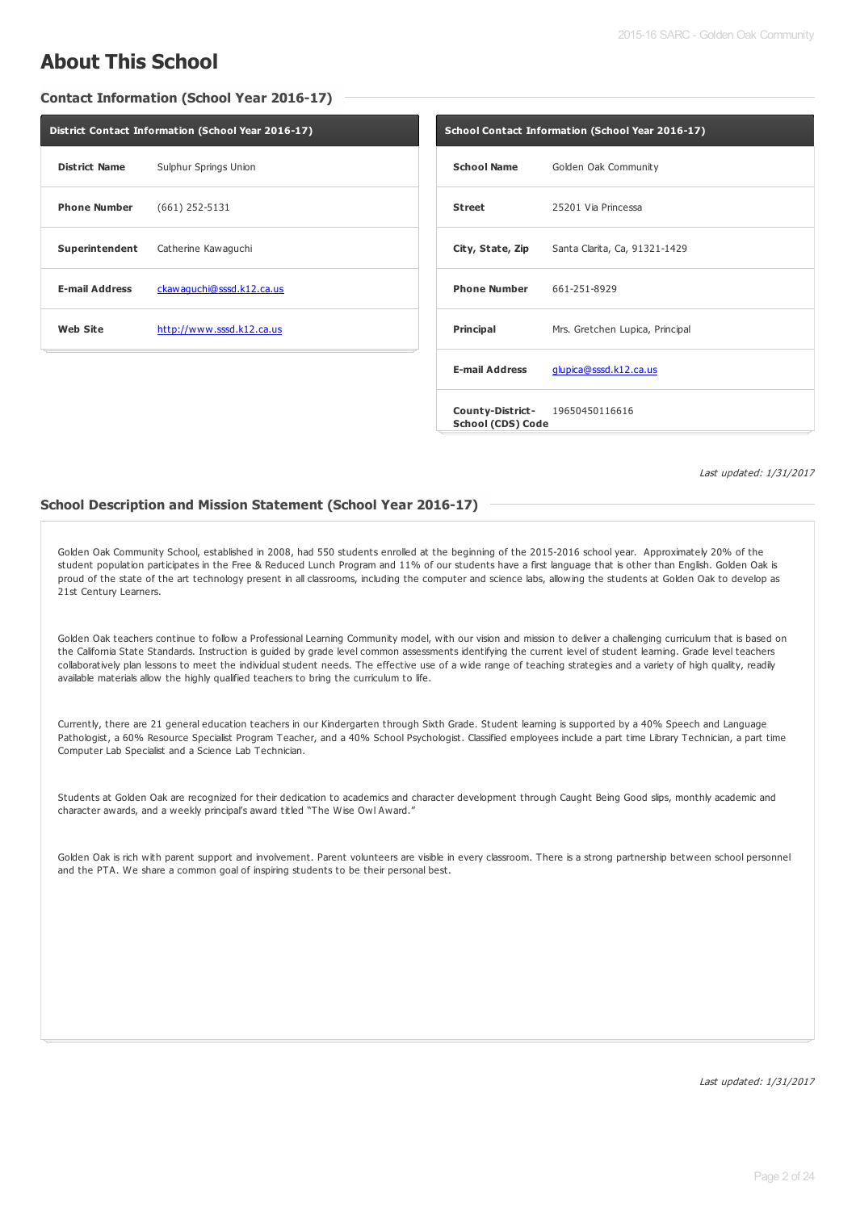# **About This School**

**Contact Information (School Year 2016-17)**

| District Contact Information (School Year 2016-17) |                           |  |  |  |
|----------------------------------------------------|---------------------------|--|--|--|
| <b>District Name</b>                               | Sulphur Springs Union     |  |  |  |
| <b>Phone Number</b>                                | $(661)$ 252-5131          |  |  |  |
| Superintendent                                     | Catherine Kawaguchi       |  |  |  |
| <b>E-mail Address</b>                              | ckawaquchi@sssd.k12.ca.us |  |  |  |
| Web Site<br>http://www.sssd.k12.ca.us              |                           |  |  |  |
|                                                    |                           |  |  |  |

| School Contact Information (School Year 2016-17)     |                                                |  |  |
|------------------------------------------------------|------------------------------------------------|--|--|
| <b>School Name</b>                                   | Golden Oak Community                           |  |  |
| <b>Street</b>                                        | 25201 Via Princessa                            |  |  |
|                                                      | City, State, Zip Santa Clarita, Ca, 91321-1429 |  |  |
| <b>Phone Number</b> 661-251-8929                     |                                                |  |  |
| Principal                                            | Mrs. Gretchen Lupica, Principal                |  |  |
| <b>E-mail Address</b>                                | glupica@sssd.k12.ca.us                         |  |  |
| County-District- 19650450116616<br>School (CDS) Code |                                                |  |  |

Last updated: 1/31/2017

#### **School Description and Mission Statement (School Year 2016-17)**

Golden Oak Community School, established in 2008, had 550 students enrolled at the beginning of the 2015-2016 school year. Approximately 20% of the student population participates in the Free & Reduced Lunch Program and 11% of our students have a first language that is other than English. Golden Oak is proud of the state of the art technology present in all classrooms, including the computer and science labs, allowing the students at Golden Oak to develop as 21st Century Learners.

Golden Oak teachers continue to follow a Professional Learning Community model, with our vision and mission to deliver a challenging curriculum that is based on the California State Standards. Instruction is guided by grade level common assessments identifying the current level of student learning. Grade level teachers collaboratively plan lessons to meet the individual student needs. The effective use of a wide range of teaching strategies and a variety of high quality, readily available materials allow the highly qualified teachers to bring the curriculum to life.

Currently, there are 21 general education teachers in our Kindergarten through Sixth Grade. Student learning is supported by a 40% Speech and Language Pathologist, a 60% Resource Specialist Program Teacher, and a 40% School Psychologist. Classified employees include a part time Library Technician, a part time Computer Lab Specialist and a Science Lab Technician.

Students at Golden Oak are recognized for their dedication to academics and character development through Caught Being Good slips, monthly academic and character awards, and a weekly principal's award titled "The Wise Owl Award."

Golden Oak is rich with parent support and involvement. Parent volunteers are visible in every classroom. There is a strong partnership between school personnel and the PTA. We share a common goal of inspiring students to be their personal best.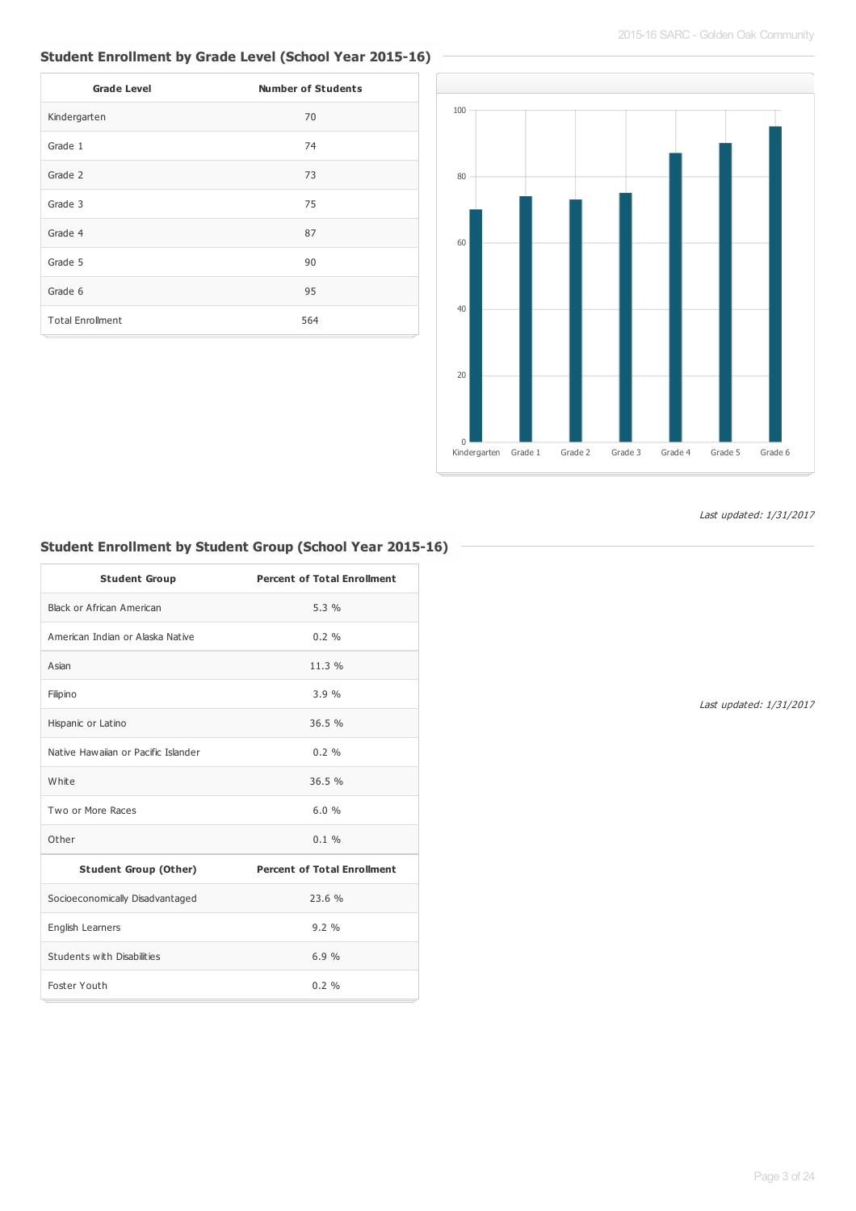# **Student Enrollment by Grade Level (School Year 2015-16)**

| <b>Grade Level</b>      | <b>Number of Students</b> |
|-------------------------|---------------------------|
| Kindergarten            | 70                        |
| Grade 1                 | 74                        |
| Grade 2                 | 73                        |
| Grade 3                 | 75                        |
| Grade 4                 | 87                        |
| Grade 5                 | 90                        |
| Grade 6                 | 95                        |
| <b>Total Enrollment</b> | 564                       |



Last updated: 1/31/2017

# **Student Enrollment by Student Group (School Year 2015-16)**

| <b>Student Group</b>                | <b>Percent of Total Enrollment</b> |
|-------------------------------------|------------------------------------|
| Black or African American           | 5.3%                               |
| American Indian or Alaska Native    | $0.2 \%$                           |
| Asian                               | 11.3%                              |
| Filipino                            | 3.9%                               |
| Hispanic or Latino                  | 36.5%                              |
| Native Hawaijan or Pacific Islander | $0.2 \%$                           |
| White                               | 36.5%                              |
| Two or More Races                   | 6.0%                               |
| Other                               | $0.1 \%$                           |
| <b>Student Group (Other)</b>        | <b>Percent of Total Enrollment</b> |
| Socioeconomically Disadvantaged     | 23.6%                              |
| English Learners                    | 9.2%                               |
| Students with Disabilities          | 6.9%                               |
| Foster Youth                        | 0.2 %                              |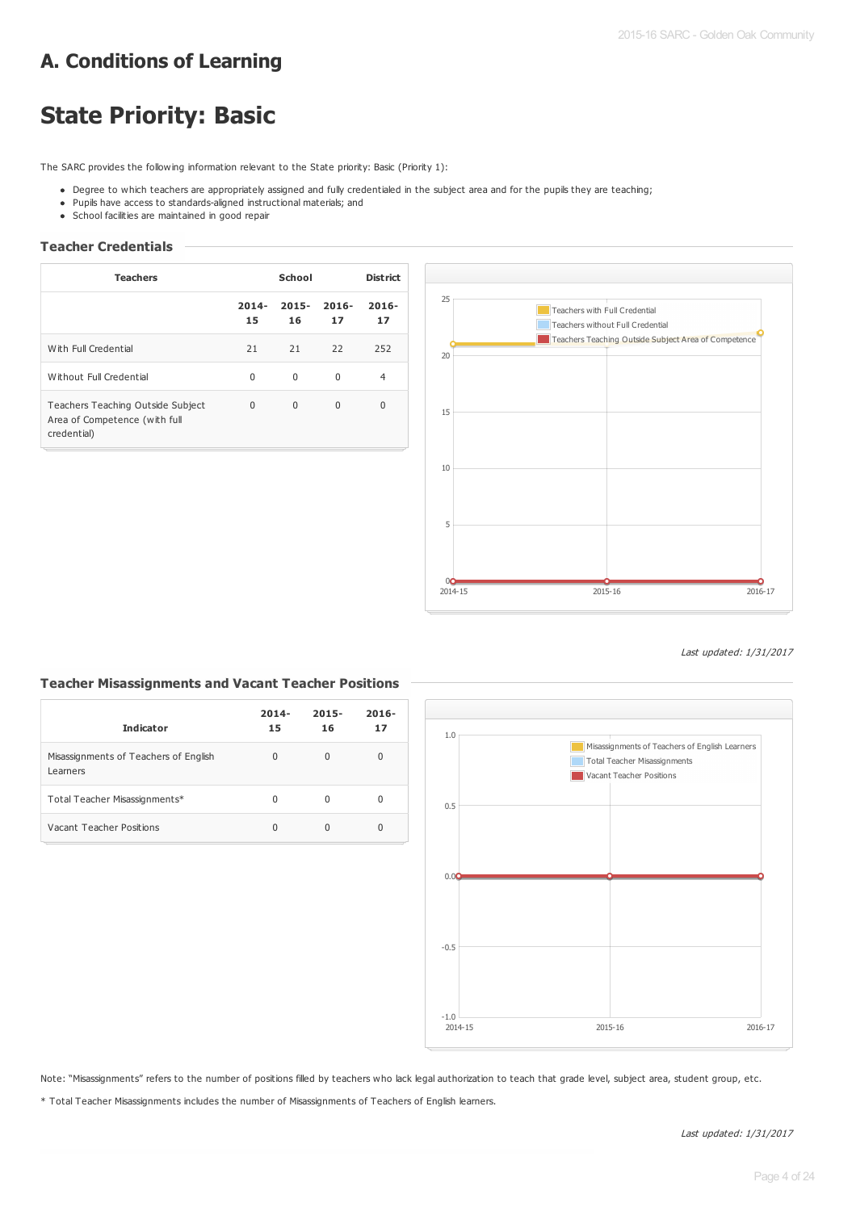# **A. Conditions of Learning**

# **State Priority: Basic**

The SARC provides the following information relevant to the State priority: Basic (Priority 1):

- Degree to which teachers are appropriately assigned and fully credentialed in the subject area and for the pupils they are teaching;
- Pupils have access to standards-aligned instructional materials; and
- School facilities are maintained in good repair

## **Teacher Credentials**

| <b>Teachers</b>                                                                   | School         |                | <b>District</b> |                |
|-----------------------------------------------------------------------------------|----------------|----------------|-----------------|----------------|
|                                                                                   | $2014 -$<br>15 | $2015 -$<br>16 | $2016 -$<br>17  | $2016 -$<br>17 |
| With Full Credential                                                              | 21             | 21             | 22              | 252            |
| Without Full Credential                                                           | $\Omega$       | $\Omega$       | $\Omega$        | 4              |
| Teachers Teaching Outside Subject<br>Area of Competence (with full<br>credential) | $\Omega$       | $\Omega$       | $\Omega$        | $\Omega$       |



Last updated: 1/31/2017

## **Teacher Misassignments and Vacant Teacher Positions**

| <b>Indicator</b>                                  | $2014 -$<br>15 | $2015 -$<br>16 | $2016 -$<br>17 |
|---------------------------------------------------|----------------|----------------|----------------|
| Misassignments of Teachers of English<br>Learners | 0              | 0              | 0              |
| Total Teacher Misassignments*                     | 0              | O              | 0              |
| Vacant Teacher Positions                          | 0              |                | 0              |



Note: "Misassignments" refers to the number of positions filled by teachers who lack legal authorization to teach that grade level, subject area, student group, etc.

\* Total Teacher Misassignments includes the number of Misassignments of Teachers of English learners.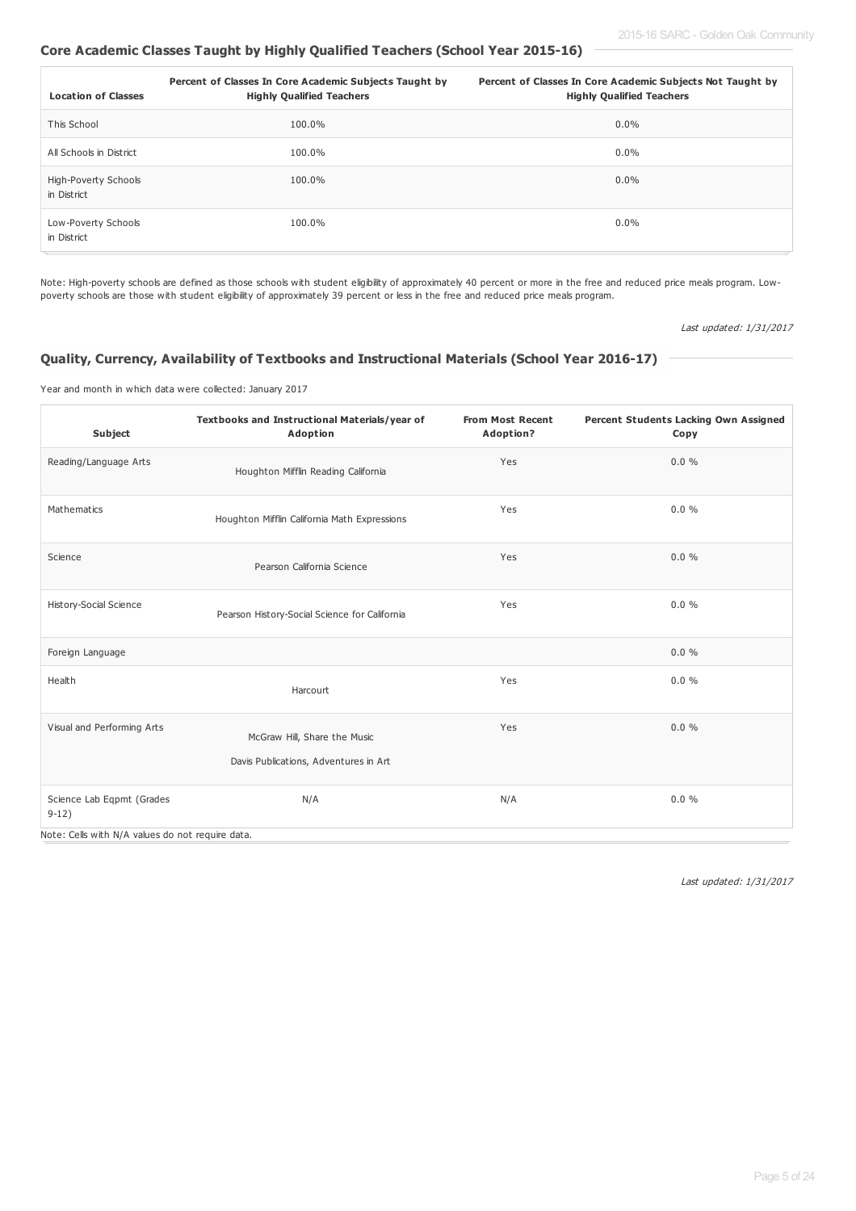## **Core Academic Classes Taught by Highly Qualified Teachers (School Year 2015-16)**

| <b>Location of Classes</b>          | Percent of Classes In Core Academic Subjects Taught by<br><b>Highly Qualified Teachers</b> | Percent of Classes In Core Academic Subjects Not Taught by<br><b>Highly Qualified Teachers</b> |
|-------------------------------------|--------------------------------------------------------------------------------------------|------------------------------------------------------------------------------------------------|
| This School                         | 100.0%                                                                                     | $0.0\%$                                                                                        |
| All Schools in District             | 100.0%                                                                                     | $0.0\%$                                                                                        |
| High-Poverty Schools<br>in District | 100.0%                                                                                     | $0.0\%$                                                                                        |
| Low-Poverty Schools<br>in District  | 100.0%                                                                                     | $0.0\%$                                                                                        |

Note: High-poverty schools are defined as those schools with student eligibility of approximately 40 percent or more in the free and reduced price meals program. Lowpoverty schools are those with student eligibility of approximately 39 percent or less in the free and reduced price meals program.

Last updated: 1/31/2017

#### **Quality, Currency, Availability of Textbooks and Instructional Materials (School Year 2016-17)**

Year and month in which data were collected: January 2017

| Subject                                          | Textbooks and Instructional Materials/year of<br>Adoption             | <b>From Most Recent</b><br>Adoption? | Percent Students Lacking Own Assigned<br>Copy |
|--------------------------------------------------|-----------------------------------------------------------------------|--------------------------------------|-----------------------------------------------|
| Reading/Language Arts                            | Houghton Mifflin Reading California                                   | Yes                                  | $0.0 \%$                                      |
| Mathematics                                      | Houghton Mifflin California Math Expressions                          | Yes                                  | 0.0%                                          |
| Science                                          | Pearson California Science                                            | Yes                                  | 0.0%                                          |
| <b>History-Social Science</b>                    | Pearson History-Social Science for California                         | Yes                                  | 0.0%                                          |
| Foreign Language                                 |                                                                       |                                      | $0.0 \%$                                      |
| Health                                           | Harcourt                                                              | Yes                                  | $0.0 \%$                                      |
| Visual and Performing Arts                       | McGraw Hill, Share the Music<br>Davis Publications, Adventures in Art | Yes                                  | 0.0%                                          |
| Science Lab Eqpmt (Grades<br>$9-12)$             | N/A                                                                   | N/A                                  | 0.0%                                          |
| Note: Cells with N/A values do not require data. |                                                                       |                                      |                                               |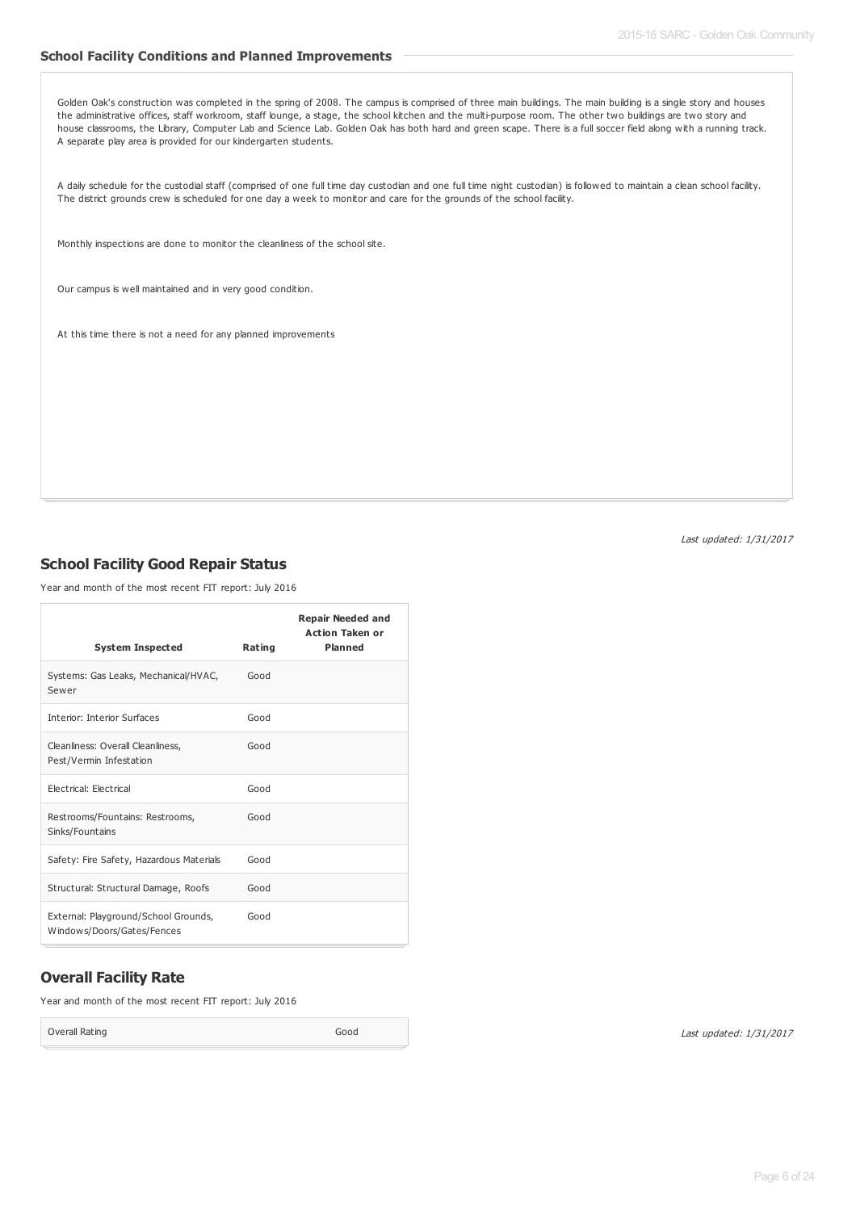#### **School Facility Conditions and Planned Improvements**

Golden Oak's construction was completed in the spring of 2008. The campus is comprised of three main buildings. The main building is a single story and houses the administrative offices, staff workroom, staff lounge, a stage, the school kitchen and the multi-purpose room. The other two buildings are two story and house classrooms, the Library, Computer Lab and Science Lab. Golden Oak has both hard and green scape. There is a full soccer field along with a running track. A separate play area is provided for our kindergarten students.

A daily schedule for the custodial staff (comprised of one full time day custodian and one full time night custodian) is followed to maintain a clean school facility. The district grounds crew is scheduled for one day a week to monitor and care for the grounds of the school facility.

Monthly inspections are done to monitor the cleanliness of the school site.

Our campus is well maintained and in very good condition.

At this time there is not a need for any planned improvements

Last updated: 1/31/2017

## **School Facility Good Repair Status**

Year and month of the most recent FIT report: July 2016

|                                                                    |        | <b>Repair Needed and</b><br><b>Action Taken or</b> |
|--------------------------------------------------------------------|--------|----------------------------------------------------|
| <b>System Inspected</b>                                            | Rating | <b>Planned</b>                                     |
| Systems: Gas Leaks, Mechanical/HVAC,<br>Sewer                      | Good   |                                                    |
| <b>Interior: Interior Surfaces</b>                                 | Good   |                                                    |
| Cleanliness: Overall Cleanliness,<br>Pest/Vermin Infestation       | Good   |                                                    |
| <b>Electrical: Electrical</b>                                      | Good   |                                                    |
| Restrooms/Fountains: Restrooms,<br>Sinks/Fountains                 | Good   |                                                    |
| Safety: Fire Safety, Hazardous Materials                           | Good   |                                                    |
| Structural: Structural Damage, Roofs                               | Good   |                                                    |
| External: Playground/School Grounds,<br>Windows/Doors/Gates/Fences | Good   |                                                    |

## **Overall Facility Rate**

Year and month of the most recent FIT report: July 2016

Overall Rating Good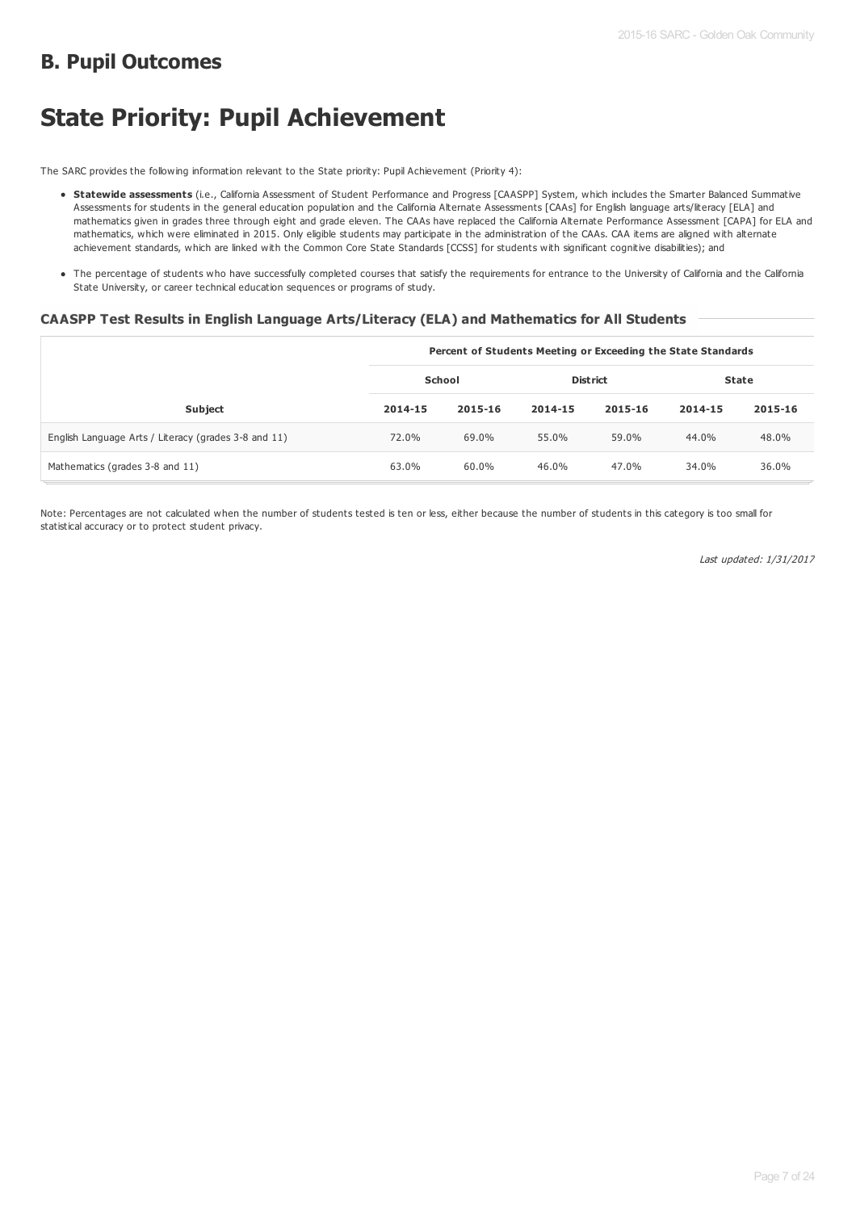# **B. Pupil Outcomes**

# **State Priority: Pupil Achievement**

The SARC provides the following information relevant to the State priority: Pupil Achievement (Priority 4):

- **Statewide assessments** (i.e., California Assessment of Student Performance and Progress [CAASPP] System, which includes the Smarter Balanced Summative Assessments for students in the general education population and the California Alternate Assessments [CAAs] for English language arts/literacy [ELA] and mathematics given in grades three through eight and grade eleven. The CAAs have replaced the California Alternate Performance Assessment [CAPA] for ELA and mathematics, which were eliminated in 2015. Only eligible students may participate in the administration of the CAAs. CAA items are aligned with alternate achievement standards, which are linked with the Common Core State Standards [CCSS] for students with significant cognitive disabilities); and
- The percentage of students who have successfully completed courses that satisfy the requirements for entrance to the University of California and the California State University, or career technical education sequences or programs of study.

#### **CAASPP Test Results in English Language Arts/Literacy (ELA) and Mathematics for All Students**

|                                                      |               |         |                 |         | Percent of Students Meeting or Exceeding the State Standards |         |  |  |
|------------------------------------------------------|---------------|---------|-----------------|---------|--------------------------------------------------------------|---------|--|--|
|                                                      | <b>School</b> |         | <b>District</b> |         | <b>State</b>                                                 |         |  |  |
| <b>Subject</b>                                       | 2014-15       | 2015-16 | 2014-15         | 2015-16 | 2014-15                                                      | 2015-16 |  |  |
| English Language Arts / Literacy (grades 3-8 and 11) | 72.0%         | 69.0%   | 55.0%           | 59.0%   | 44.0%                                                        | 48.0%   |  |  |
| Mathematics (grades 3-8 and 11)                      | 63.0%         | 60.0%   | 46.0%           | 47.0%   | 34.0%                                                        | 36.0%   |  |  |

Note: Percentages are not calculated when the number of students tested is ten or less, either because the number of students in this category is too small for statistical accuracy or to protect student privacy.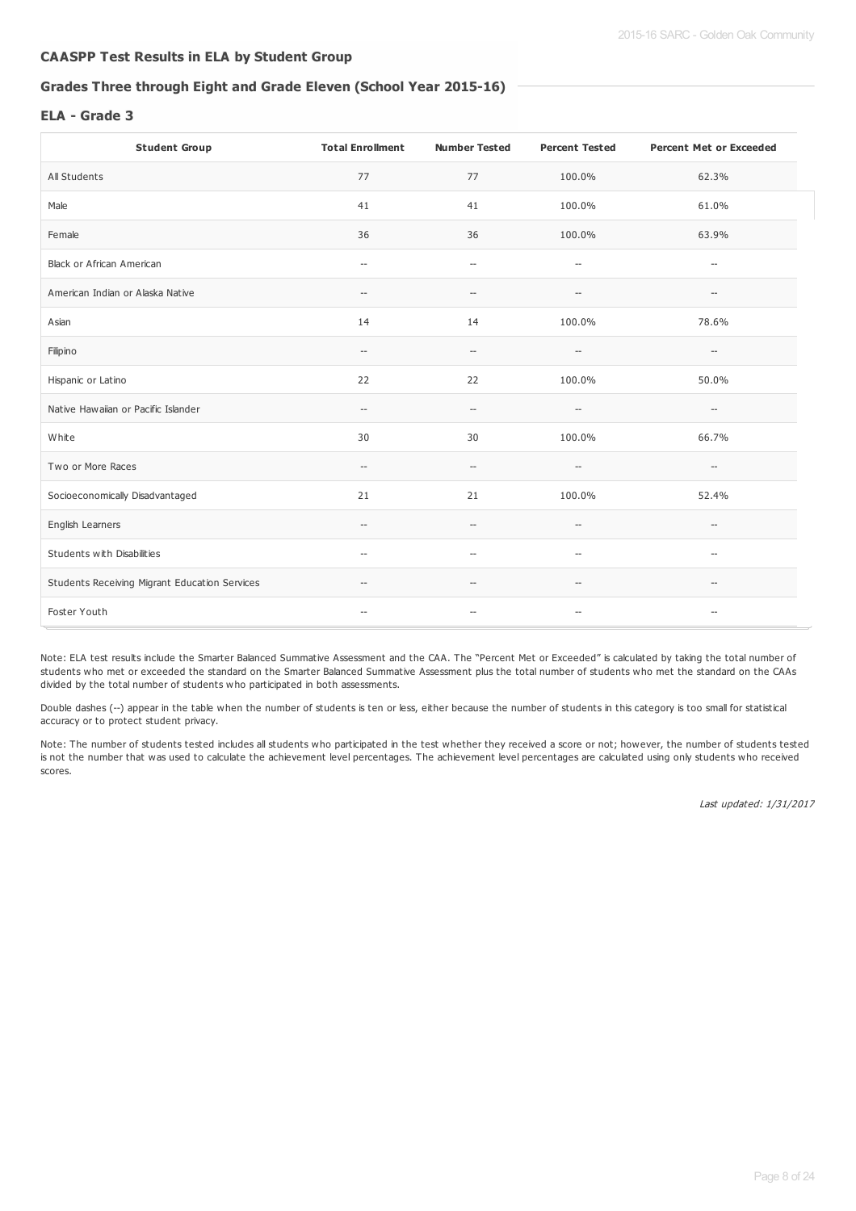## **CAASPP Test Results in ELA by Student Group**

## **Grades Three through Eight and Grade Eleven (School Year 2015-16)**

#### **ELA - Grade 3**

| <b>Student Group</b>                          | <b>Total Enrollment</b>                             | <b>Number Tested</b>                                | <b>Percent Tested</b>                               | <b>Percent Met or Exceeded</b>                      |
|-----------------------------------------------|-----------------------------------------------------|-----------------------------------------------------|-----------------------------------------------------|-----------------------------------------------------|
| All Students                                  | 77                                                  | 77                                                  | 100.0%                                              | 62.3%                                               |
| Male                                          | 41                                                  | 41                                                  | 100.0%                                              | 61.0%                                               |
| Female                                        | 36                                                  | 36                                                  | 100.0%                                              | 63.9%                                               |
| Black or African American                     | $\hspace{0.05cm} -\hspace{0.05cm}$                  | $\hspace{0.05cm} -\hspace{0.05cm}$                  | $\hspace{0.05cm} -\hspace{0.05cm} -\hspace{0.05cm}$ | $\hspace{0.05cm} -$                                 |
| American Indian or Alaska Native              | $\hspace{0.05cm} \dashv$                            | $\hspace{0.05cm} -\hspace{0.05cm} -\hspace{0.05cm}$ | $-\!$                                               | $-\!$                                               |
| Asian                                         | 14                                                  | 14                                                  | 100.0%                                              | 78.6%                                               |
| Filipino                                      | $\hspace{0.05cm} -\hspace{0.05cm} -\hspace{0.05cm}$ | $\hspace{0.05cm} -\hspace{0.05cm} -\hspace{0.05cm}$ | $\hspace{0.05cm} -\hspace{0.05cm} -\hspace{0.05cm}$ | $\hspace{0.05cm} -\hspace{0.05cm} -\hspace{0.05cm}$ |
| Hispanic or Latino                            | 22                                                  | 22                                                  | 100.0%                                              | 50.0%                                               |
| Native Hawaiian or Pacific Islander           | $\hspace{0.05cm} -\hspace{0.05cm} -\hspace{0.05cm}$ | $\hspace{0.05cm} -\hspace{0.05cm} -\hspace{0.05cm}$ | $-\!$                                               | $\hspace{0.05cm} -\hspace{0.05cm}$                  |
| White                                         | 30                                                  | 30                                                  | 100.0%                                              | 66.7%                                               |
| Two or More Races                             | $\hspace{0.05cm} -\hspace{0.05cm} -\hspace{0.05cm}$ | $\hspace{0.05cm} -\hspace{0.05cm} -\hspace{0.05cm}$ | $\overline{\phantom{a}}$                            | $\hspace{0.05cm} -\hspace{0.05cm} -\hspace{0.05cm}$ |
| Socioeconomically Disadvantaged               | 21                                                  | 21                                                  | 100.0%                                              | 52.4%                                               |
| English Learners                              | $\hspace{0.05cm} -$                                 | $-$                                                 | $\hspace{0.05cm} -\hspace{0.05cm} -\hspace{0.05cm}$ | $\hspace{0.05cm}$ – $\hspace{0.05cm}$               |
| Students with Disabilities                    | $\hspace{0.05cm} \ldots$                            | $\hspace{0.05cm} \ldots$                            | $\overline{\phantom{a}}$                            | $\overline{\phantom{a}}$                            |
| Students Receiving Migrant Education Services | $\hspace{0.05cm} \dashv$                            | --                                                  | $\hspace{0.05cm} -\hspace{0.05cm} -\hspace{0.05cm}$ | $-\!$                                               |
| Foster Youth                                  | $\overline{\phantom{a}}$                            | $\hspace{0.05cm} -$                                 | $\hspace{0.05cm} -\hspace{0.05cm} -\hspace{0.05cm}$ | $-\!$                                               |

Note: ELA test results include the Smarter Balanced Summative Assessment and the CAA. The "Percent Met or Exceeded" is calculated by taking the total number of students who met or exceeded the standard on the Smarter Balanced Summative Assessment plus the total number of students who met the standard on the CAAs divided by the total number of students who participated in both assessments.

Double dashes (--) appear in the table when the number of students is ten or less, either because the number of students in this category is too small for statistical accuracy or to protect student privacy.

Note: The number of students tested includes all students who participated in the test whether they received a score or not; however, the number of students tested is not the number that was used to calculate the achievement level percentages. The achievement level percentages are calculated using only students who received scores.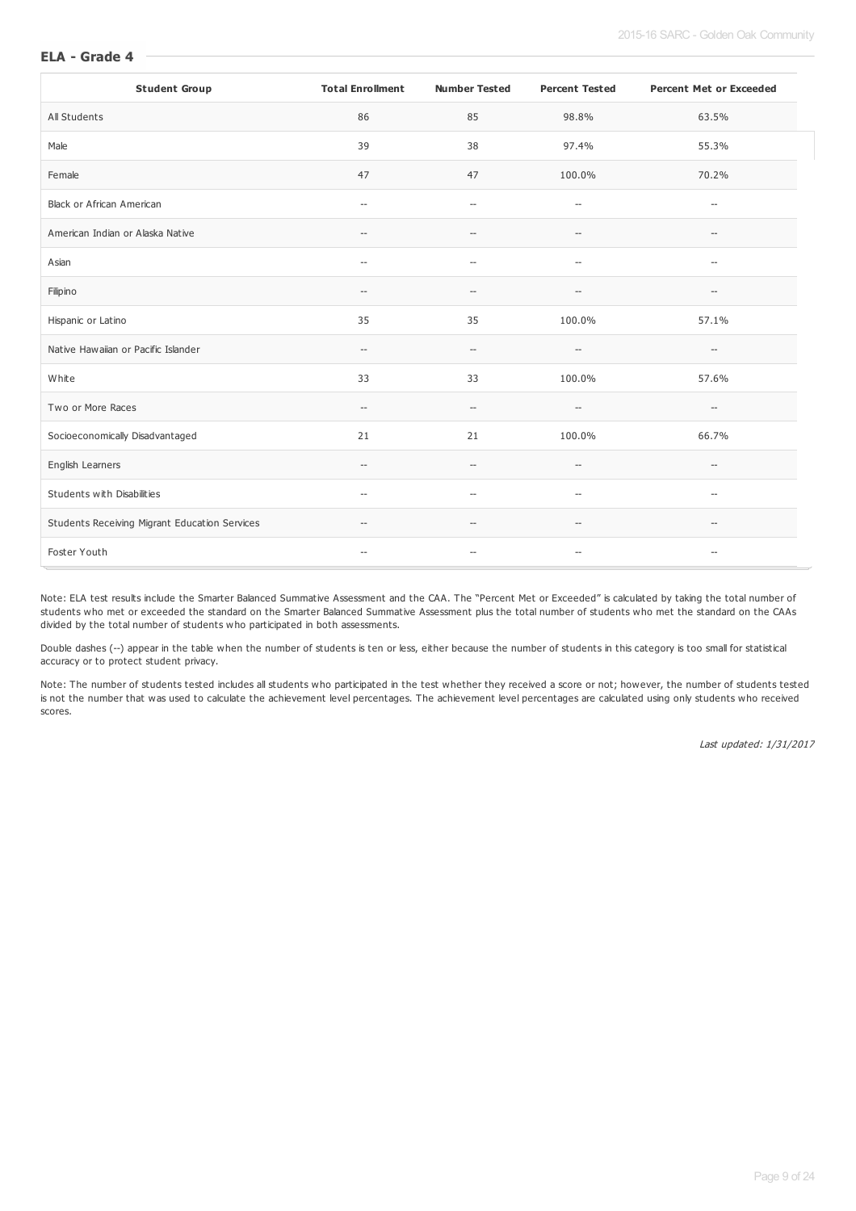#### **ELA - Grade 4**

| <b>Student Group</b>                          | <b>Total Enrollment</b>                             | <b>Number Tested</b>                                | <b>Percent Tested</b>                               | <b>Percent Met or Exceeded</b>                      |
|-----------------------------------------------|-----------------------------------------------------|-----------------------------------------------------|-----------------------------------------------------|-----------------------------------------------------|
| All Students                                  | 86                                                  | 85                                                  | 98.8%                                               | 63.5%                                               |
| Male                                          | 39                                                  | 38                                                  | 97.4%                                               | 55.3%                                               |
| Female                                        | 47                                                  | 47                                                  | 100.0%                                              | 70.2%                                               |
| <b>Black or African American</b>              | $\hspace{0.05cm} -\hspace{0.05cm}$                  | $\hspace{0.05cm} \ldots$                            | $\overline{\phantom{a}}$                            | $\hspace{0.05cm} -\hspace{0.05cm} -\hspace{0.05cm}$ |
| American Indian or Alaska Native              | $\hspace{0.05cm} -\hspace{0.05cm}$                  | $-\!$                                               | $\hspace{0.05cm} -\hspace{0.05cm} -\hspace{0.05cm}$ | $\hspace{0.05cm} -\hspace{0.05cm}$                  |
| Asian                                         | $\hspace{0.05cm} -\hspace{0.05cm}$                  | $\hspace{0.05cm} -\hspace{0.05cm} -\hspace{0.05cm}$ | $\hspace{0.05cm} \ldots$                            | $\hspace{0.05cm} -\hspace{0.05cm}$                  |
| Filipino                                      | $\hspace{0.05cm} -\hspace{0.05cm} -\hspace{0.05cm}$ | $\hspace{0.05cm} -$                                 | $\overline{\phantom{a}}$                            | --                                                  |
| Hispanic or Latino                            | 35                                                  | 35                                                  | 100.0%                                              | 57.1%                                               |
| Native Hawaiian or Pacific Islander           | $\hspace{0.05cm} -\hspace{0.05cm} -\hspace{0.05cm}$ | $\hspace{0.05cm} -\hspace{0.05cm} -\hspace{0.05cm}$ | $-\!$                                               | --                                                  |
| White                                         | 33                                                  | 33                                                  | 100.0%                                              | 57.6%                                               |
| Two or More Races                             | $\hspace{0.05cm} -\hspace{0.05cm}$                  | $\hspace{0.05cm} -$                                 | $\hspace{0.05cm} -\hspace{0.05cm} -\hspace{0.05cm}$ | $\hspace{0.05cm} -\hspace{0.05cm} -\hspace{0.05cm}$ |
| Socioeconomically Disadvantaged               | 21                                                  | 21                                                  | 100.0%                                              | 66.7%                                               |
| English Learners                              | $\hspace{0.05cm} -\hspace{0.05cm}$                  | $-$                                                 | $\overline{\phantom{a}}$                            | $\overline{\phantom{a}}$                            |
| Students with Disabilities                    | $\hspace{0.05cm} -\hspace{0.05cm}$                  | $\overline{\phantom{a}}$                            | $\overline{\phantom{a}}$                            | $\overline{\phantom{a}}$                            |
| Students Receiving Migrant Education Services | $\hspace{0.05cm} -\hspace{0.05cm} -\hspace{0.05cm}$ | $-$                                                 | $-\!$                                               | $\hspace{0.05cm} -\hspace{0.05cm} -\hspace{0.05cm}$ |
| Foster Youth                                  | $\hspace{0.05cm} -\hspace{0.05cm}$                  | $\hspace{0.05cm} -\hspace{0.05cm} -\hspace{0.05cm}$ | $-\!$                                               | $-\!$                                               |

Note: ELA test results include the Smarter Balanced Summative Assessment and the CAA. The "Percent Met or Exceeded" is calculated by taking the total number of students who met or exceeded the standard on the Smarter Balanced Summative Assessment plus the total number of students who met the standard on the CAAs divided by the total number of students who participated in both assessments.

Double dashes (--) appear in the table when the number of students is ten or less, either because the number of students in this category is too small for statistical accuracy or to protect student privacy.

Note: The number of students tested includes all students who participated in the test whether they received a score or not; however, the number of students tested is not the number that was used to calculate the achievement level percentages. The achievement level percentages are calculated using only students who received scores.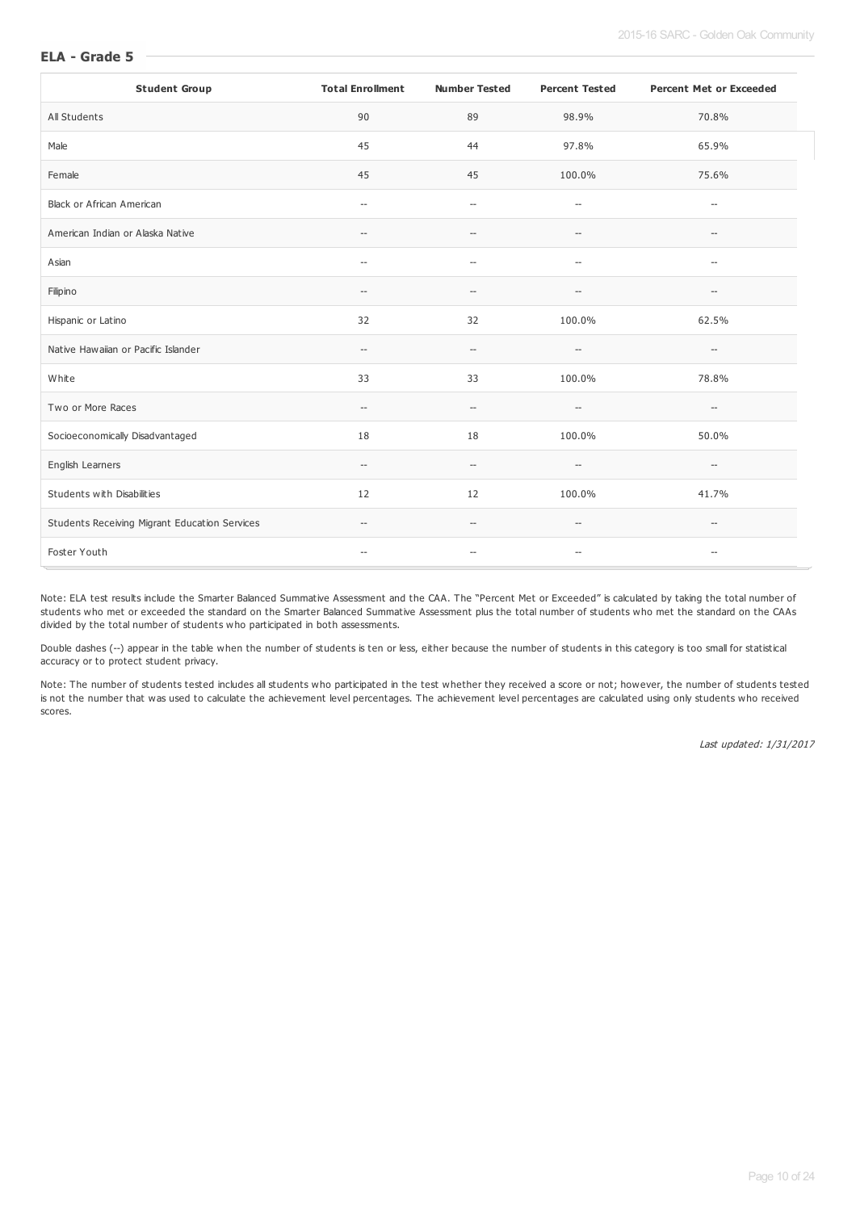#### **ELA - Grade 5**

| <b>Student Group</b>                          | <b>Total Enrollment</b>                             | <b>Number Tested</b>                                | <b>Percent Tested</b>                               | <b>Percent Met or Exceeded</b>                      |
|-----------------------------------------------|-----------------------------------------------------|-----------------------------------------------------|-----------------------------------------------------|-----------------------------------------------------|
| All Students                                  | 90                                                  | 89                                                  | 98.9%                                               | 70.8%                                               |
| Male                                          | 45                                                  | 44                                                  | 97.8%                                               | 65.9%                                               |
| Female                                        | 45                                                  | 45                                                  | 100.0%                                              | 75.6%                                               |
| Black or African American                     | $\hspace{0.05cm} -\hspace{0.05cm}$                  | $\hspace{0.05cm} -\hspace{0.05cm} -\hspace{0.05cm}$ | $\hspace{0.05cm} -\hspace{0.05cm} -\hspace{0.05cm}$ | $\hspace{0.05cm} -\hspace{0.05cm} -\hspace{0.05cm}$ |
| American Indian or Alaska Native              | $\hspace{0.05cm} -\hspace{0.05cm}$                  | $\hspace{0.05cm} -\hspace{0.05cm} -\hspace{0.05cm}$ | $\hspace{0.05cm} -\hspace{0.05cm} -\hspace{0.05cm}$ | $\hspace{0.05cm} -\hspace{0.05cm}$                  |
| Asian                                         | $\overline{\phantom{a}}$                            | $\hspace{0.05cm} -$                                 | $\hspace{0.05cm} -\hspace{0.05cm} -\hspace{0.05cm}$ | $\overline{\phantom{a}}$                            |
| Filipino                                      | $\hspace{0.05cm}--\hspace{0.05cm}$                  | $-$                                                 | $\overline{\phantom{a}}$                            | $\overline{\phantom{a}}$                            |
| Hispanic or Latino                            | 32                                                  | 32                                                  | 100.0%                                              | 62.5%                                               |
| Native Hawaiian or Pacific Islander           | $\hspace{0.05cm} \dashv$                            | $\hspace{0.05cm} -\hspace{0.05cm} -\hspace{0.05cm}$ | $-\!$                                               | $\hspace{0.05cm} -\hspace{0.05cm} -\hspace{0.05cm}$ |
| White                                         | 33                                                  | 33                                                  | 100.0%                                              | 78.8%                                               |
| Two or More Races                             | $\hspace{0.05cm} -\hspace{0.05cm}$                  | $-\!$                                               | $-\!$                                               | $\hspace{0.05cm} -\hspace{0.05cm}$                  |
| Socioeconomically Disadvantaged               | 18                                                  | 18                                                  | 100.0%                                              | 50.0%                                               |
| English Learners                              | $\hspace{0.05cm} -\hspace{0.05cm} -\hspace{0.05cm}$ | $-$                                                 | $-$                                                 | $\hspace{0.05cm} -\hspace{0.05cm}$                  |
| Students with Disabilities                    | 12                                                  | 12                                                  | 100.0%                                              | 41.7%                                               |
| Students Receiving Migrant Education Services | $\hspace{0.05cm} -\hspace{0.05cm} -\hspace{0.05cm}$ | $\hspace{0.05cm} -\hspace{0.05cm} -\hspace{0.05cm}$ | $\hspace{0.05cm} -\hspace{0.05cm} -\hspace{0.05cm}$ | $\hspace{0.05cm} -\hspace{0.05cm} -\hspace{0.05cm}$ |
| Foster Youth                                  | $\hspace{0.05cm} \dashv$                            | $\hspace{0.05cm} -$                                 | $-\, -$                                             | $-\!$                                               |

Note: ELA test results include the Smarter Balanced Summative Assessment and the CAA. The "Percent Met or Exceeded" is calculated by taking the total number of students who met or exceeded the standard on the Smarter Balanced Summative Assessment plus the total number of students who met the standard on the CAAs divided by the total number of students who participated in both assessments.

Double dashes (--) appear in the table when the number of students is ten or less, either because the number of students in this category is too small for statistical accuracy or to protect student privacy.

Note: The number of students tested includes all students who participated in the test whether they received a score or not; however, the number of students tested is not the number that was used to calculate the achievement level percentages. The achievement level percentages are calculated using only students who received scores.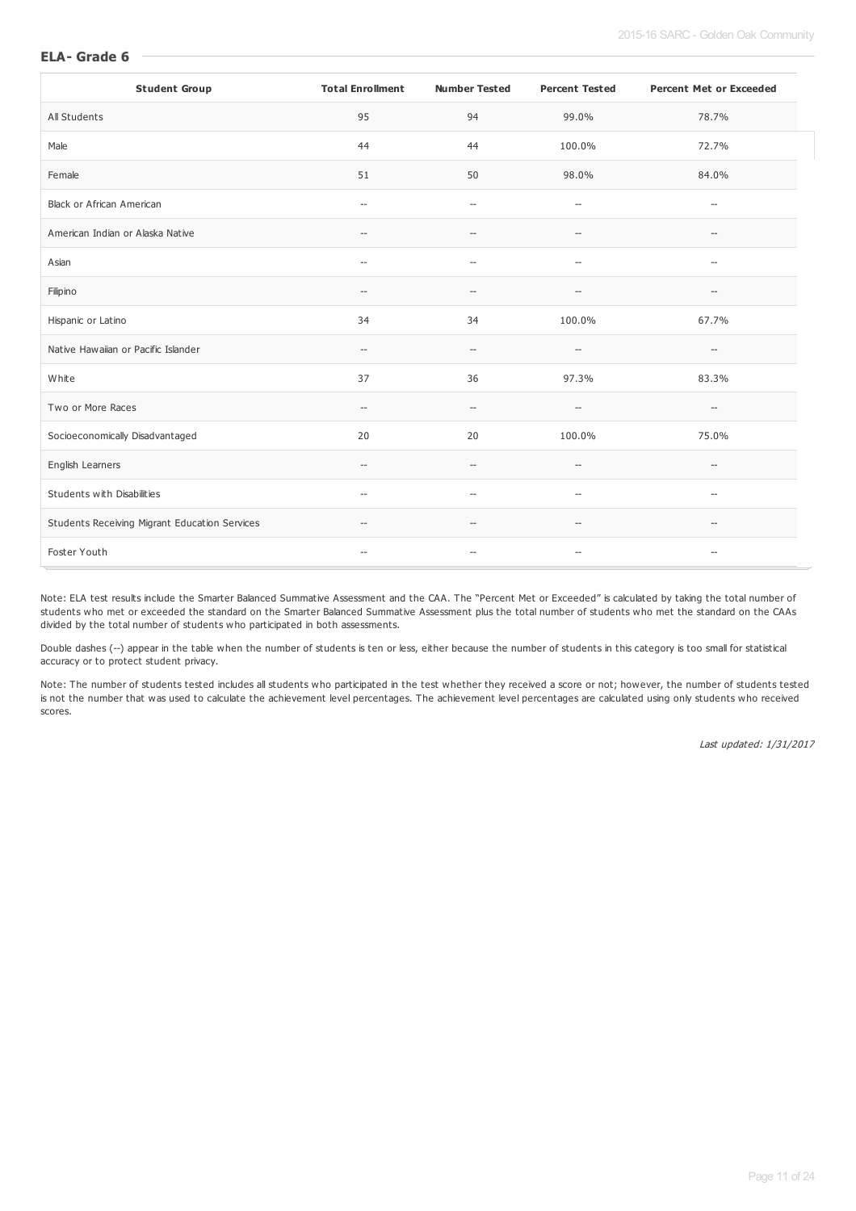#### **ELA- Grade 6**

| <b>Student Group</b>                          | <b>Total Enrollment</b>                             | <b>Number Tested</b>                                | <b>Percent Tested</b>                               | <b>Percent Met or Exceeded</b>                      |
|-----------------------------------------------|-----------------------------------------------------|-----------------------------------------------------|-----------------------------------------------------|-----------------------------------------------------|
| All Students                                  | 95                                                  | 94                                                  | 99.0%                                               | 78.7%                                               |
| Male                                          | 44                                                  | 44                                                  | 100.0%                                              | 72.7%                                               |
| Female                                        | 51                                                  | 50                                                  | 98.0%                                               | 84.0%                                               |
| Black or African American                     | $\hspace{0.05cm} -$                                 | $\overline{\phantom{a}}$                            | $-\!$                                               | $\hspace{0.05cm} -$                                 |
| American Indian or Alaska Native              | $\hspace{0.05cm} -\hspace{0.05cm} -\hspace{0.05cm}$ | $\hspace{0.05cm} -$                                 | $\hspace{0.05cm} -\hspace{0.05cm} -\hspace{0.05cm}$ | $\hspace{0.05cm} -\hspace{0.05cm} -\hspace{0.05cm}$ |
| Asian                                         | $\hspace{0.05cm} -\hspace{0.05cm} -\hspace{0.05cm}$ | $\hspace{0.05cm} -\hspace{0.05cm} -\hspace{0.05cm}$ | $-\!$                                               | $\hspace{0.05cm} -\hspace{0.05cm} -\hspace{0.05cm}$ |
| Filipino                                      | $\overline{\phantom{a}}$                            | $\hspace{0.05cm} -\hspace{0.05cm}$                  | $\hspace{0.05cm} -$                                 | $\hspace{0.05cm} -$                                 |
| Hispanic or Latino                            | 34                                                  | 34                                                  | 100.0%                                              | 67.7%                                               |
| Native Hawaiian or Pacific Islander           | $\hspace{0.05cm} -\hspace{0.05cm}$                  | $\hspace{0.05cm} -\hspace{0.05cm} -\hspace{0.05cm}$ | $\hspace{0.05cm} -\hspace{0.05cm} -\hspace{0.05cm}$ | $\hspace{0.05cm} -\hspace{0.05cm} -\hspace{0.05cm}$ |
| White                                         | 37                                                  | 36                                                  | 97.3%                                               | 83.3%                                               |
| Two or More Races                             | $\hspace{0.05cm} -\hspace{0.05cm} -\hspace{0.05cm}$ | $\hspace{0.05cm} -$                                 | $-\!$                                               | $\hspace{0.05cm} -\hspace{0.05cm} -\hspace{0.05cm}$ |
| Socioeconomically Disadvantaged               | 20                                                  | 20                                                  | 100.0%                                              | 75.0%                                               |
| English Learners                              | $\overline{\phantom{0}}$                            | $\hspace{0.05cm} -\hspace{0.05cm}$                  | $\hspace{0.05cm} -$                                 | $\hspace{0.05cm} -$                                 |
| Students with Disabilities                    | $\overline{a}$                                      | $\overline{\phantom{a}}$                            | $\overline{\phantom{a}}$                            | $\overline{\phantom{a}}$                            |
| Students Receiving Migrant Education Services | $\hspace{0.05cm} -\hspace{0.05cm}$                  | $\qquad \qquad -$                                   | $\hspace{0.05cm} -\hspace{0.05cm} -\hspace{0.05cm}$ | $\hspace{0.05cm} -$                                 |
| Foster Youth                                  | $\hspace{0.05cm} -\hspace{0.05cm} -\hspace{0.05cm}$ | $-\!$                                               | $\hspace{0.05cm} -\hspace{0.05cm} -\hspace{0.05cm}$ | $\hspace{0.05cm} -\hspace{0.05cm} -\hspace{0.05cm}$ |

Note: ELA test results include the Smarter Balanced Summative Assessment and the CAA. The "Percent Met or Exceeded" is calculated by taking the total number of students who met or exceeded the standard on the Smarter Balanced Summative Assessment plus the total number of students who met the standard on the CAAs divided by the total number of students who participated in both assessments.

Double dashes (--) appear in the table when the number of students is ten or less, either because the number of students in this category is too small for statistical accuracy or to protect student privacy.

Note: The number of students tested includes all students who participated in the test whether they received a score or not; however, the number of students tested is not the number that was used to calculate the achievement level percentages. The achievement level percentages are calculated using only students who received scores.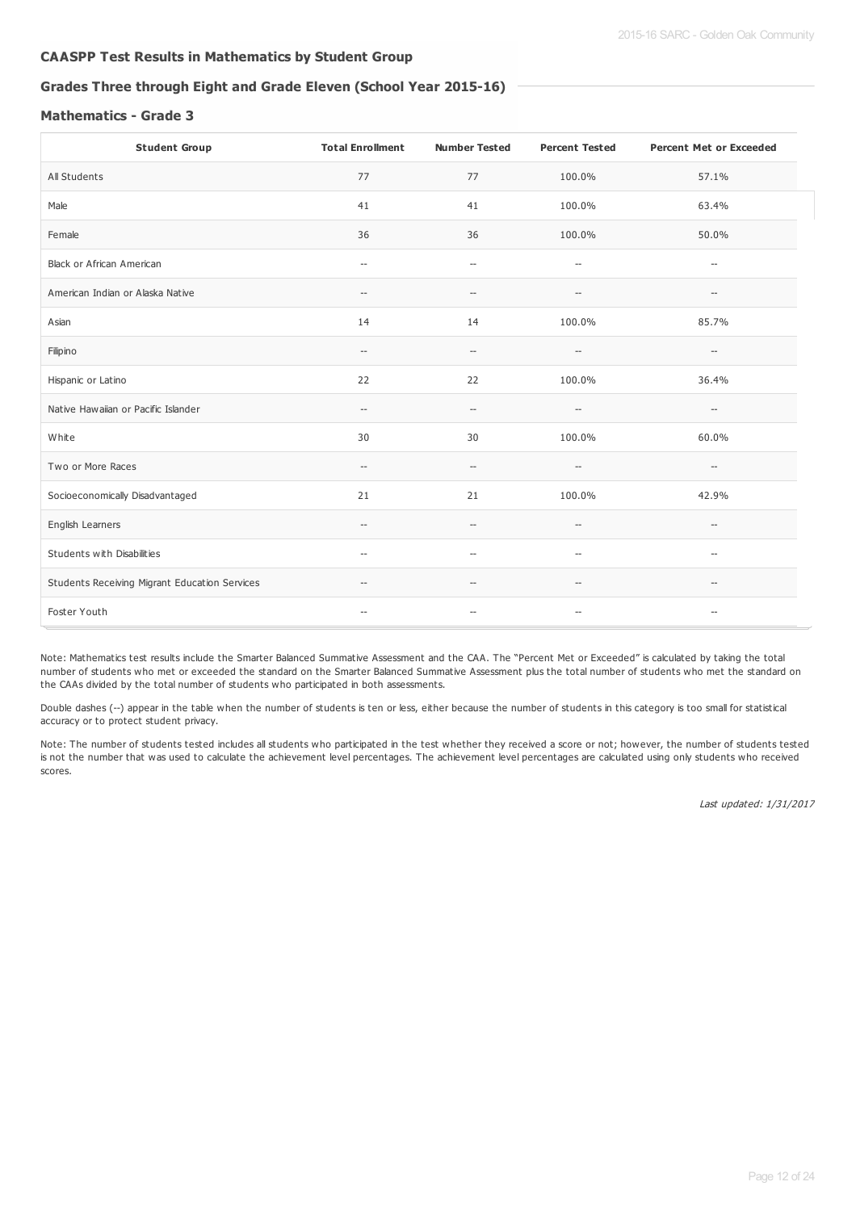## **CAASPP Test Results in Mathematics by Student Group**

## **Grades Three through Eight and Grade Eleven (School Year 2015-16)**

#### **Mathematics - Grade 3**

| <b>Student Group</b>                          | <b>Total Enrollment</b>                             | <b>Number Tested</b>                                | <b>Percent Tested</b>                               | <b>Percent Met or Exceeded</b>     |
|-----------------------------------------------|-----------------------------------------------------|-----------------------------------------------------|-----------------------------------------------------|------------------------------------|
| All Students                                  | 77                                                  | 77                                                  | 100.0%                                              | 57.1%                              |
| Male                                          | 41                                                  | 41                                                  | 100.0%                                              | 63.4%                              |
| Female                                        | 36                                                  | 36                                                  | 100.0%                                              | 50.0%                              |
| Black or African American                     | $\hspace{0.05cm} -\hspace{0.05cm}$                  | $\hspace{0.05cm} -\hspace{0.05cm}$                  | $\hspace{0.05cm} -\hspace{0.05cm} -\hspace{0.05cm}$ | $\hspace{0.05cm} -\hspace{0.05cm}$ |
| American Indian or Alaska Native              | $\hspace{0.05cm} -\hspace{0.05cm}$                  | --                                                  | --                                                  | --                                 |
| Asian                                         | 14                                                  | 14                                                  | 100.0%                                              | 85.7%                              |
| Filipino                                      | $\hspace{0.05cm} -\hspace{0.05cm} -\hspace{0.05cm}$ | $\hspace{0.05cm} \ldots$                            | $\overline{\phantom{a}}$                            | $\overline{\phantom{a}}$           |
| Hispanic or Latino                            | 22                                                  | 22                                                  | 100.0%                                              | 36.4%                              |
| Native Hawaiian or Pacific Islander           | $\hspace{0.05cm} \ldots$                            | $-\!$                                               | $-\!$                                               | --                                 |
| White                                         | 30                                                  | 30                                                  | 100.0%                                              | 60.0%                              |
| Two or More Races                             | $\hspace{0.05cm} -\hspace{0.05cm} -\hspace{0.05cm}$ | $\hspace{0.05cm} -\hspace{0.05cm} -\hspace{0.05cm}$ | $-\!$                                               | $-\!$                              |
| Socioeconomically Disadvantaged               | 21                                                  | 21                                                  | 100.0%                                              | 42.9%                              |
| English Learners                              | $\hspace{0.05cm} \dashv$                            | $\hspace{0.05cm} -\hspace{0.05cm} -\hspace{0.05cm}$ | $\hspace{0.05cm} -\hspace{0.05cm} -\hspace{0.05cm}$ | $-\!$                              |
| Students with Disabilities                    | $\hspace{0.05cm} -\hspace{0.05cm}$                  | $\hspace{0.05cm} \ldots$                            | $\hspace{0.05cm} -\hspace{0.05cm} -\hspace{0.05cm}$ | $\hspace{0.05cm} -\hspace{0.05cm}$ |
| Students Receiving Migrant Education Services | $\hspace{0.05cm} -\hspace{0.05cm} -\hspace{0.05cm}$ | $\hspace{0.05cm}$ – $\hspace{0.05cm}$               | $-$                                                 | $\hspace{0.05cm} -\hspace{0.05cm}$ |
| Foster Youth                                  | $\overline{\phantom{a}}$                            | $\hspace{0.05cm} -$                                 | $\overline{\phantom{a}}$                            | --                                 |

Note: Mathematics test results include the Smarter Balanced Summative Assessment and the CAA. The "Percent Met or Exceeded" is calculated by taking the total number of students who met or exceeded the standard on the Smarter Balanced Summative Assessment plus the total number of students who met the standard on the CAAs divided by the total number of students who participated in both assessments.

Double dashes (--) appear in the table when the number of students is ten or less, either because the number of students in this category is too small for statistical accuracy or to protect student privacy.

Note: The number of students tested includes all students who participated in the test whether they received a score or not; however, the number of students tested is not the number that was used to calculate the achievement level percentages. The achievement level percentages are calculated using only students who received scores.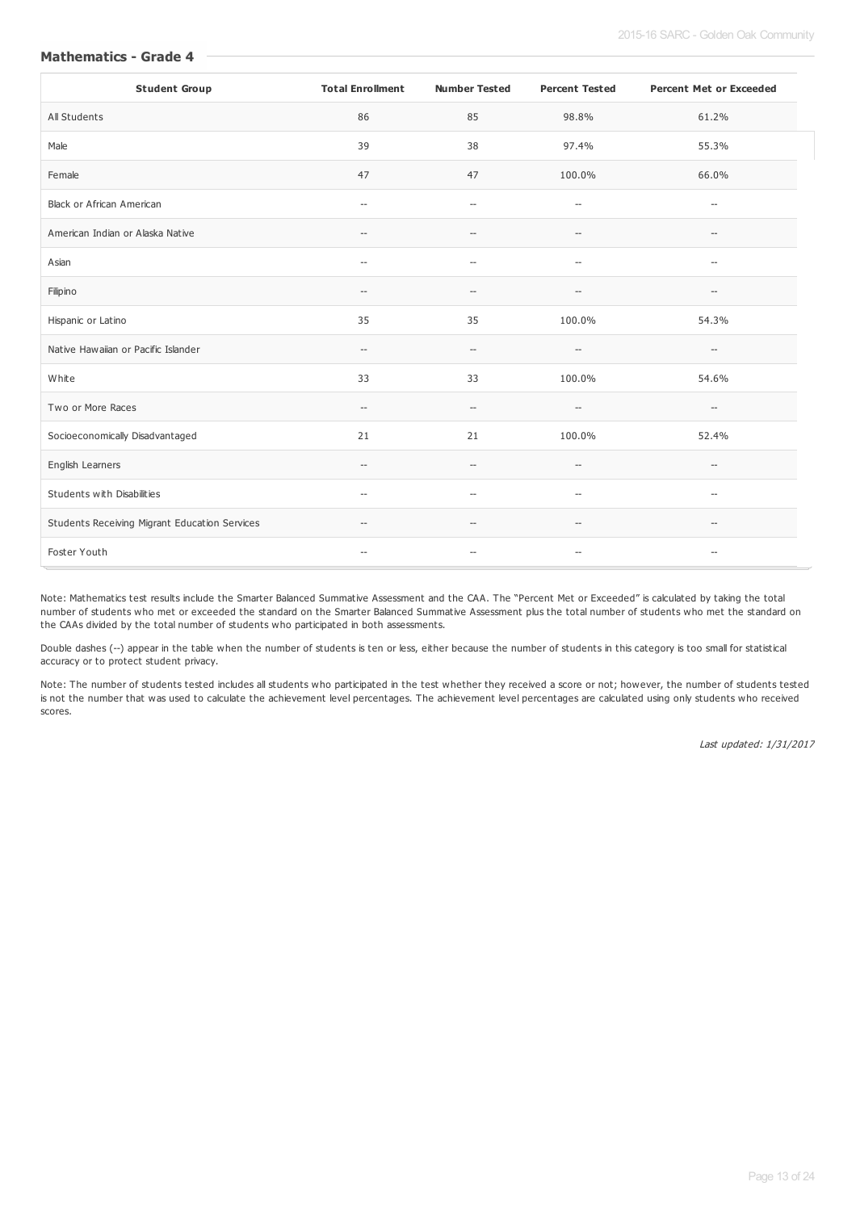| <b>Mathematics - Grade 4</b> |  |
|------------------------------|--|
|------------------------------|--|

| <b>Student Group</b>                          | <b>Total Enrollment</b>                             | <b>Number Tested</b>                                | <b>Percent Tested</b>                               | <b>Percent Met or Exceeded</b>                      |
|-----------------------------------------------|-----------------------------------------------------|-----------------------------------------------------|-----------------------------------------------------|-----------------------------------------------------|
| All Students                                  | 86                                                  | 85                                                  | 98.8%                                               | 61.2%                                               |
| Male                                          | 39                                                  | 38                                                  | 97.4%                                               | 55.3%                                               |
| Female                                        | 47                                                  | 47                                                  | 100.0%                                              | 66.0%                                               |
| Black or African American                     | $\hspace{0.05cm} \ldots$                            | $\hspace{0.05cm} \ldots$                            | $\hspace{0.05cm} -\hspace{0.05cm} -\hspace{0.05cm}$ | $\hspace{0.05cm} -$                                 |
| American Indian or Alaska Native              | $-\!$                                               | $-$                                                 | $-\!$                                               | $\hspace{0.05cm} -\hspace{0.05cm}$                  |
| Asian                                         | $\hspace{0.05cm} -\hspace{0.05cm}$                  | $\hspace{0.05cm} \ldots$                            | $\hspace{0.05cm} -\hspace{0.05cm} -\hspace{0.05cm}$ | $\hspace{0.05cm} -\hspace{0.05cm}$                  |
| Filipino                                      | $\hspace{0.05cm} -\hspace{0.05cm} -\hspace{0.05cm}$ | $\hspace{0.05cm} -\hspace{0.05cm} -\hspace{0.05cm}$ | $-\!$                                               | $\hspace{0.05cm} -\hspace{0.05cm}$                  |
| Hispanic or Latino                            | 35                                                  | 35                                                  | 100.0%                                              | 54.3%                                               |
| Native Hawaiian or Pacific Islander           | $\hspace{0.05cm} -\hspace{0.05cm} -\hspace{0.05cm}$ | $-$                                                 | $\hspace{0.05cm} -\hspace{0.05cm} -\hspace{0.05cm}$ | $\hspace{0.05cm} -\hspace{0.05cm} -\hspace{0.05cm}$ |
| White                                         | 33                                                  | 33                                                  | 100.0%                                              | 54.6%                                               |
| Two or More Races                             | $\hspace{0.05cm} -\hspace{0.05cm} -\hspace{0.05cm}$ | $\hspace{0.05cm} -\hspace{0.05cm} -\hspace{0.05cm}$ | $\hspace{0.05cm} -\hspace{0.05cm} -\hspace{0.05cm}$ | $\hspace{0.05cm} -\hspace{0.05cm} -\hspace{0.05cm}$ |
| Socioeconomically Disadvantaged               | 21                                                  | 21                                                  | 100.0%                                              | 52.4%                                               |
| English Learners                              | $\hspace{0.05cm} -\hspace{0.05cm} -\hspace{0.05cm}$ | $\hspace{0.05cm} -\hspace{0.05cm} -\hspace{0.05cm}$ | $-\!$                                               | $\hspace{0.05cm} -\hspace{0.05cm} -\hspace{0.05cm}$ |
| Students with Disabilities                    | $\overline{\phantom{a}}$                            | $-$                                                 | $\hspace{0.05cm} -\hspace{0.05cm} -\hspace{0.05cm}$ | $-\!$                                               |
| Students Receiving Migrant Education Services | $\hspace{0.05cm} -\hspace{0.05cm} -\hspace{0.05cm}$ | $\hspace{0.05cm} \ldots$                            | $-\!$                                               | $\hspace{0.05cm} -\hspace{0.05cm} -\hspace{0.05cm}$ |
| Foster Youth                                  | $\hspace{0.05cm} -\hspace{0.05cm} -\hspace{0.05cm}$ | $\hspace{0.05cm} -\hspace{0.05cm} -\hspace{0.05cm}$ | $-\!$                                               | $\hspace{0.05cm} -\hspace{0.05cm}$                  |

Note: Mathematics test results include the Smarter Balanced Summative Assessment and the CAA. The "Percent Met or Exceeded" is calculated by taking the total number of students who met or exceeded the standard on the Smarter Balanced Summative Assessment plus the total number of students who met the standard on the CAAs divided by the total number of students who participated in both assessments.

Double dashes (--) appear in the table when the number of students is ten or less, either because the number of students in this category is too small for statistical accuracy or to protect student privacy.

Note: The number of students tested includes all students who participated in the test whether they received a score or not; however, the number of students tested is not the number that was used to calculate the achievement level percentages. The achievement level percentages are calculated using only students who received scores.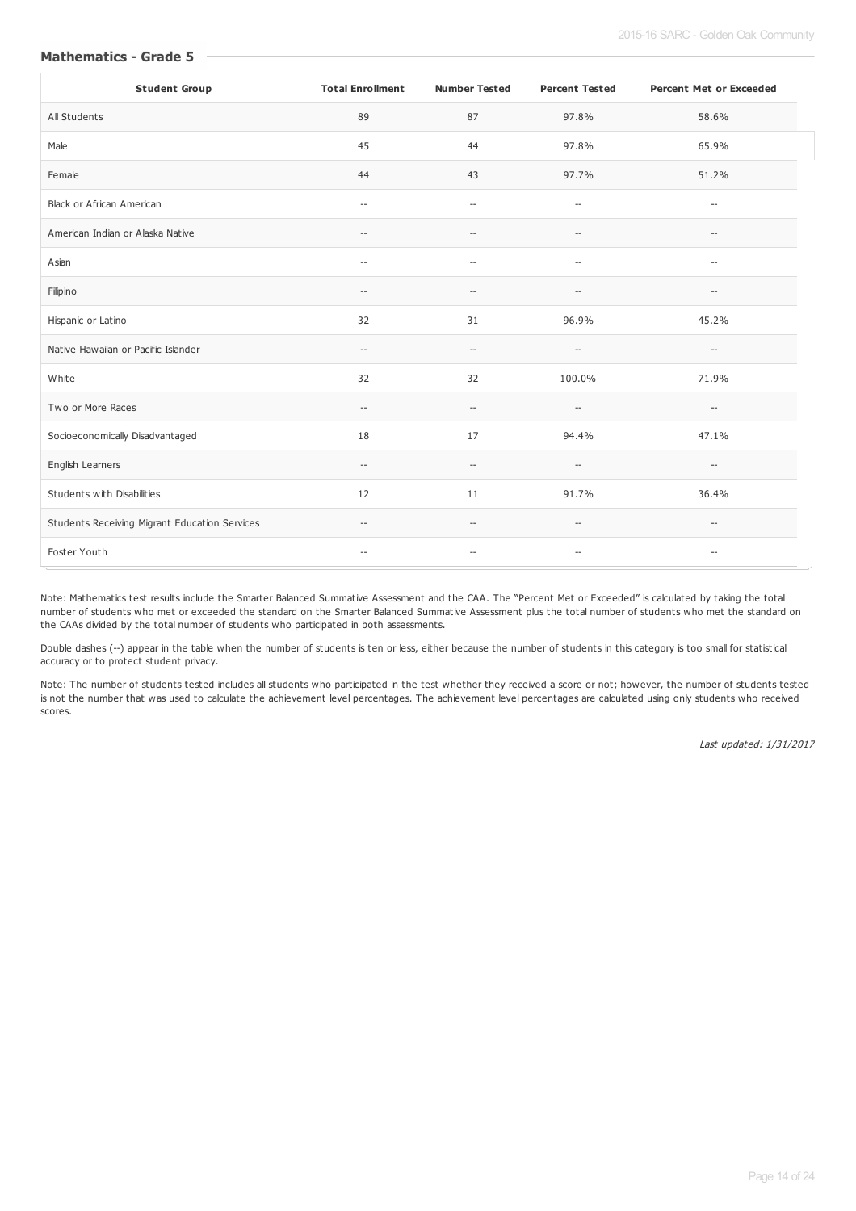| <b>Student Group</b>                          | <b>Total Enrollment</b>                             | <b>Number Tested</b>                                | <b>Percent Tested</b>                               | <b>Percent Met or Exceeded</b>                      |
|-----------------------------------------------|-----------------------------------------------------|-----------------------------------------------------|-----------------------------------------------------|-----------------------------------------------------|
| All Students                                  | 89                                                  | 87                                                  | 97.8%                                               | 58.6%                                               |
| Male                                          | 45                                                  | 44                                                  | 97.8%                                               | 65.9%                                               |
| Female                                        | 44                                                  | 43                                                  | 97.7%                                               | 51.2%                                               |
| <b>Black or African American</b>              | $\overline{\phantom{a}}$                            | $\overline{\phantom{a}}$                            | $\hspace{0.05cm} -\hspace{0.05cm} -\hspace{0.05cm}$ | $\hspace{0.05cm} -$                                 |
| American Indian or Alaska Native              | $\hspace{0.05cm} \dashv$                            | $\hspace{0.05cm} -\hspace{0.05cm} -\hspace{0.05cm}$ | $-\!$                                               | $\hspace{0.05cm} -\hspace{0.05cm} -\hspace{0.05cm}$ |
| Asian                                         | $\hspace{0.05cm} -\hspace{0.05cm}$                  | $-\!$                                               | $\hspace{0.05cm} -\hspace{0.05cm} -\hspace{0.05cm}$ | $\hspace{0.05cm} -\hspace{0.05cm} -\hspace{0.05cm}$ |
| Filipino                                      | $- -$                                               | --                                                  | $\overline{\phantom{a}}$                            | $\overline{\phantom{a}}$                            |
| Hispanic or Latino                            | 32                                                  | 31                                                  | 96.9%                                               | 45.2%                                               |
| Native Hawaiian or Pacific Islander           | $\hspace{0.05cm} -\hspace{0.05cm} -\hspace{0.05cm}$ | $-\!$                                               | $\hspace{0.05cm} -\hspace{0.05cm} -\hspace{0.05cm}$ | $\hspace{0.05cm} -\hspace{0.05cm} -\hspace{0.05cm}$ |
| White                                         | 32                                                  | 32                                                  | 100.0%                                              | 71.9%                                               |
| Two or More Races                             | $\hspace{0.05cm} -\hspace{0.05cm} -\hspace{0.05cm}$ | $\hspace{0.05cm} -\hspace{0.05cm} -\hspace{0.05cm}$ | $\hspace{0.05cm} -\hspace{0.05cm} -\hspace{0.05cm}$ | $\hspace{0.05cm} -\hspace{0.05cm} -\hspace{0.05cm}$ |
| Socioeconomically Disadvantaged               | 18                                                  | 17                                                  | 94.4%                                               | 47.1%                                               |
| English Learners                              | $\hspace{0.05cm} -\hspace{0.05cm} -\hspace{0.05cm}$ | $\overline{\phantom{a}}$                            | $\overline{\phantom{a}}$                            | $\overline{\phantom{a}}$                            |
| Students with Disabilities                    | 12                                                  | 11                                                  | 91.7%                                               | 36.4%                                               |
| Students Receiving Migrant Education Services | $\hspace{0.05cm} -\hspace{0.05cm} -\hspace{0.05cm}$ | $\hspace{0.05cm} -\hspace{0.05cm}$                  | $\hspace{0.05cm} -\hspace{0.05cm} -\hspace{0.05cm}$ | $\hspace{0.05cm} -\hspace{0.05cm} -\hspace{0.05cm}$ |
| Foster Youth                                  | $\hspace{0.05cm} -\hspace{0.05cm}$                  | $\qquad \qquad -$                                   | $-\!$                                               | $\hspace{0.05cm} -\hspace{0.05cm} -\hspace{0.05cm}$ |

**Mathematics - Grade 5**

Note: Mathematics test results include the Smarter Balanced Summative Assessment and the CAA. The "Percent Met or Exceeded" is calculated by taking the total number of students who met or exceeded the standard on the Smarter Balanced Summative Assessment plus the total number of students who met the standard on the CAAs divided by the total number of students who participated in both assessments.

Double dashes (--) appear in the table when the number of students is ten or less, either because the number of students in this category is too small for statistical accuracy or to protect student privacy.

Note: The number of students tested includes all students who participated in the test whether they received a score or not; however, the number of students tested is not the number that was used to calculate the achievement level percentages. The achievement level percentages are calculated using only students who received scores.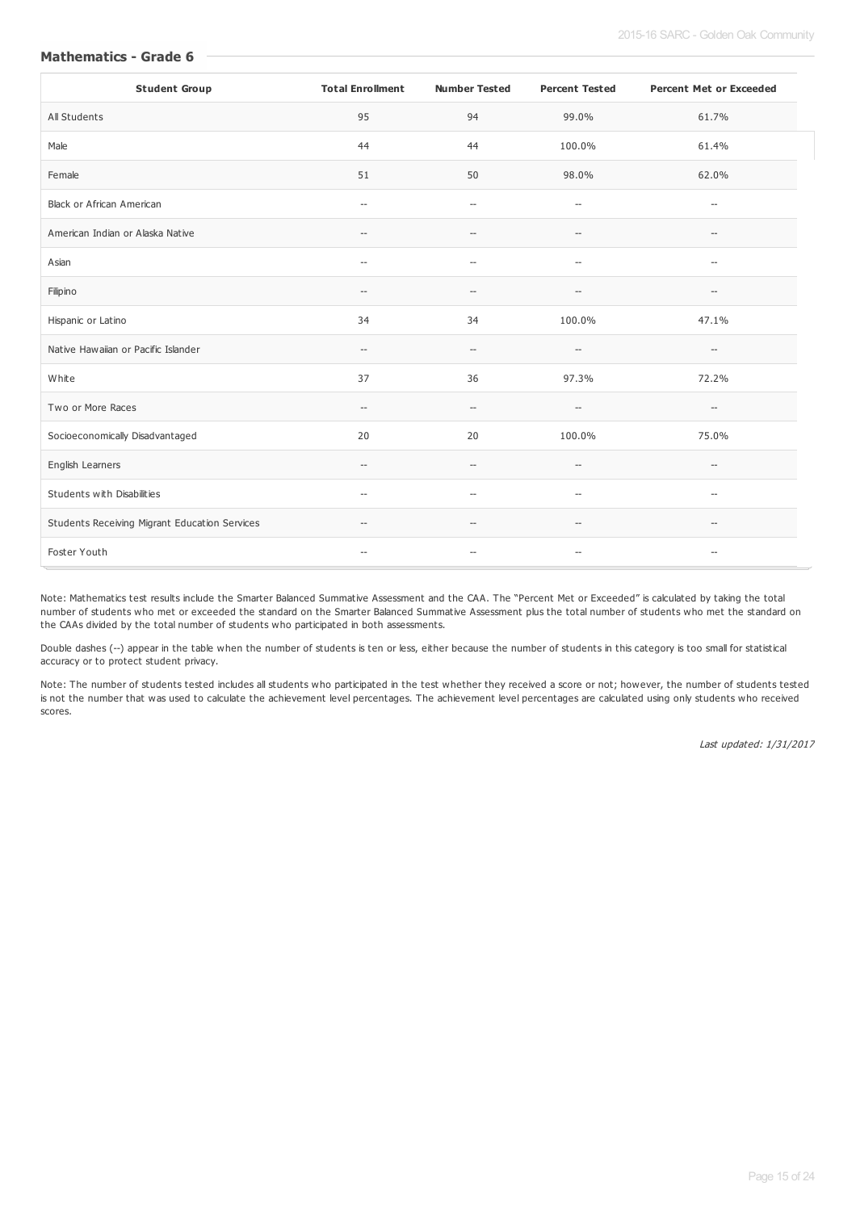| <b>Student Group</b>                          | <b>Total Enrollment</b>                             | <b>Number Tested</b>                                | <b>Percent Tested</b>                               | <b>Percent Met or Exceeded</b>                      |
|-----------------------------------------------|-----------------------------------------------------|-----------------------------------------------------|-----------------------------------------------------|-----------------------------------------------------|
| All Students                                  | 95                                                  | 94                                                  | 99.0%                                               | 61.7%                                               |
| Male                                          | 44                                                  | 44                                                  | 100.0%                                              | 61.4%                                               |
| Female                                        | 51                                                  | 50                                                  | 98.0%                                               | 62.0%                                               |
| <b>Black or African American</b>              | $\hspace{0.05cm} -\hspace{0.05cm}$                  | $\overline{\phantom{a}}$                            | $\hspace{0.05cm} -\hspace{0.05cm} -\hspace{0.05cm}$ | $\hspace{0.05cm} -$                                 |
| American Indian or Alaska Native              | $\hspace{0.05cm} \dashv$                            | $\hspace{0.05cm} -\hspace{0.05cm} -\hspace{0.05cm}$ | $-\!$                                               | $\hspace{0.05cm} -\hspace{0.05cm} -\hspace{0.05cm}$ |
| Asian                                         | $\hspace{0.05cm} -\hspace{0.05cm}$                  | $-\!$                                               | $\hspace{0.05cm} -\hspace{0.05cm} -\hspace{0.05cm}$ | $\hspace{0.05cm} -\hspace{0.05cm} -\hspace{0.05cm}$ |
| Filipino                                      | $- -$                                               | --                                                  | $\overline{\phantom{a}}$                            | $\overline{\phantom{a}}$                            |
| Hispanic or Latino                            | 34                                                  | 34                                                  | 100.0%                                              | 47.1%                                               |
| Native Hawaiian or Pacific Islander           | $\hspace{0.05cm} -\hspace{0.05cm} -\hspace{0.05cm}$ | $-\!$                                               | $\hspace{0.05cm} -\hspace{0.05cm} -\hspace{0.05cm}$ | $\hspace{0.05cm} -\hspace{0.05cm} -\hspace{0.05cm}$ |
| White                                         | 37                                                  | 36                                                  | 97.3%                                               | 72.2%                                               |
| Two or More Races                             | $\hspace{0.05cm} -\hspace{0.05cm} -\hspace{0.05cm}$ | $\hspace{0.05cm} -\hspace{0.05cm} -\hspace{0.05cm}$ | $-\hbox{--}$                                        | $\hspace{0.05cm} -\hspace{0.05cm} -\hspace{0.05cm}$ |
| Socioeconomically Disadvantaged               | 20                                                  | 20                                                  | 100.0%                                              | 75.0%                                               |
| English Learners                              | $\qquad \qquad -$                                   | $\sim$                                              | $\overline{\phantom{a}}$                            | $\overline{\phantom{a}}$                            |
| Students with Disabilities                    | $\hspace{0.05cm} -\hspace{0.05cm}$                  | $\hspace{0.05cm} -\hspace{0.05cm} -\hspace{0.05cm}$ | $-\!$                                               | $\hspace{0.05cm} -\hspace{0.05cm} -\hspace{0.05cm}$ |
| Students Receiving Migrant Education Services | $\hspace{0.05cm} -\hspace{0.05cm} -\hspace{0.05cm}$ | $\hspace{0.05cm} -\hspace{0.05cm}$                  | $\hspace{0.05cm} -\hspace{0.05cm} -\hspace{0.05cm}$ | $\hspace{0.05cm} -\hspace{0.05cm} -\hspace{0.05cm}$ |
| Foster Youth                                  | $\hspace{0.05cm} -\hspace{0.05cm}$                  | $\hspace{0.05cm} -\hspace{0.05cm}$                  | $-\!$                                               | $\hspace{0.05cm} -\hspace{0.05cm} -\hspace{0.05cm}$ |

**Mathematics - Grade 6**

Note: Mathematics test results include the Smarter Balanced Summative Assessment and the CAA. The "Percent Met or Exceeded" is calculated by taking the total number of students who met or exceeded the standard on the Smarter Balanced Summative Assessment plus the total number of students who met the standard on the CAAs divided by the total number of students who participated in both assessments.

Double dashes (--) appear in the table when the number of students is ten or less, either because the number of students in this category is too small for statistical accuracy or to protect student privacy.

Note: The number of students tested includes all students who participated in the test whether they received a score or not; however, the number of students tested is not the number that was used to calculate the achievement level percentages. The achievement level percentages are calculated using only students who received scores.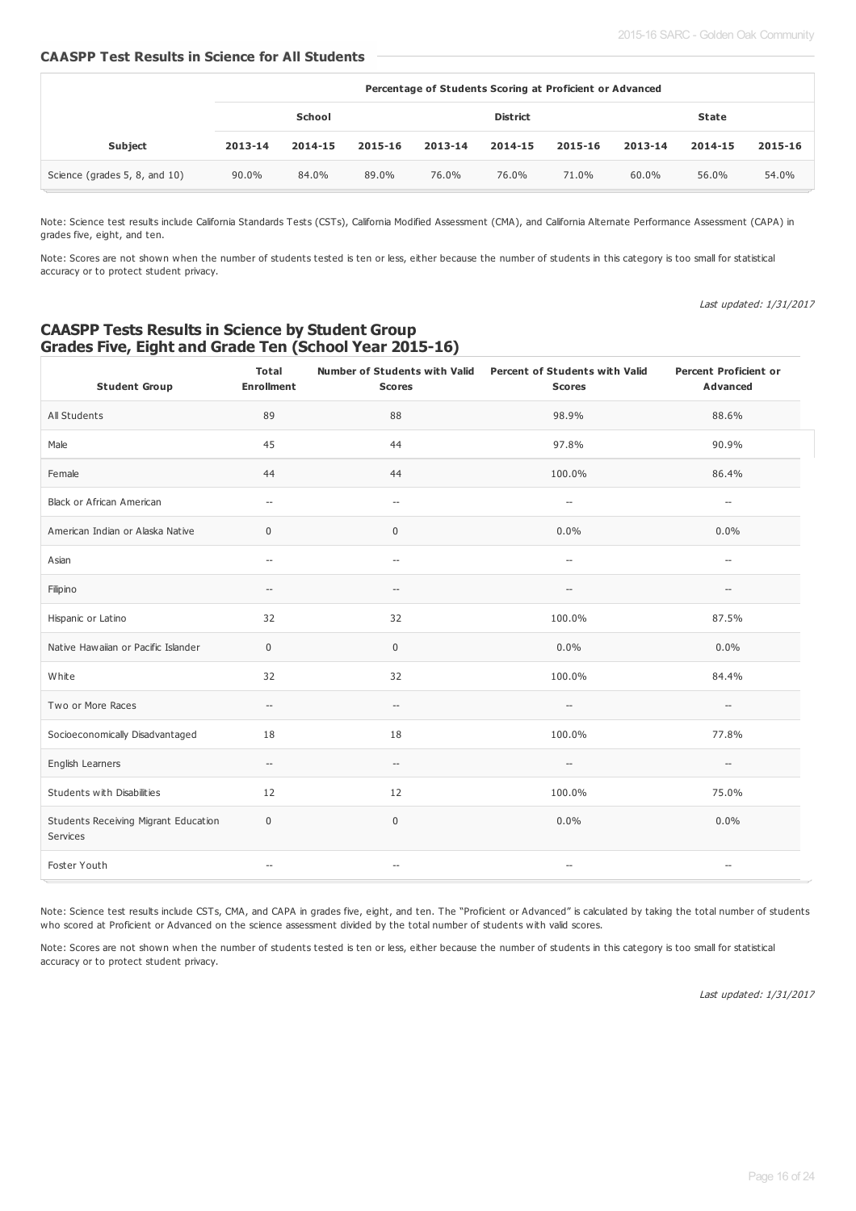#### **CAASPP Test Results in Science for All Students**

|                               | Percentage of Students Scoring at Proficient or Advanced |         |         |              |         |         |         |         |         |
|-------------------------------|----------------------------------------------------------|---------|---------|--------------|---------|---------|---------|---------|---------|
|                               | School<br><b>District</b>                                |         |         | <b>State</b> |         |         |         |         |         |
| <b>Subject</b>                | 2013-14                                                  | 2014-15 | 2015-16 | 2013-14      | 2014-15 | 2015-16 | 2013-14 | 2014-15 | 2015-16 |
| Science (grades 5, 8, and 10) | 90.0%                                                    | 84.0%   | 89.0%   | 76.0%        | 76.0%   | 71.0%   | 60.0%   | 56.0%   | 54.0%   |

Note: Science test results include California Standards Tests (CSTs), California Modified Assessment (CMA), and California Alternate Performance Assessment (CAPA) in grades five, eight, and ten.

Note: Scores are not shown when the number of students tested is ten or less, either because the number of students in this category is too small for statistical accuracy or to protect student privacy.

Last updated: 1/31/2017

## **CAASPP Tests Results in Science by Student Group Grades Five, Eight and Grade Ten (School Year 2015-16)**

| <b>Student Group</b>                             | Total<br><b>Enrollment</b>                          | <b>Scores</b>                                       | Number of Students with Valid Percent of Students with Valid<br><b>Scores</b> | <b>Percent Proficient or</b><br>Advanced            |
|--------------------------------------------------|-----------------------------------------------------|-----------------------------------------------------|-------------------------------------------------------------------------------|-----------------------------------------------------|
| All Students                                     | 89                                                  | 88                                                  | 98.9%                                                                         | 88.6%                                               |
| Male                                             | 45                                                  | 44                                                  | 97.8%                                                                         | 90.9%                                               |
| Female                                           | 44                                                  | 44                                                  | 100.0%                                                                        | 86.4%                                               |
| Black or African American                        | $\overline{\phantom{m}}$                            | $\overline{\phantom{a}}$                            | $\overline{\phantom{a}}$                                                      | $\overline{\phantom{a}}$                            |
| American Indian or Alaska Native                 | 0                                                   | $\mathbf 0$                                         | $0.0\%$                                                                       | $0.0\%$                                             |
| Asian                                            | $\hspace{0.05cm} -\hspace{0.05cm} -\hspace{0.05cm}$ | $\hspace{0.05cm} -\hspace{0.05cm} -\hspace{0.05cm}$ | $\hspace{0.05cm} -\hspace{0.05cm} -\hspace{0.05cm}$                           | $\hspace{0.05cm} -\hspace{0.05cm} -\hspace{0.05cm}$ |
| Filipino                                         | $\hspace{0.05cm} -\hspace{0.05cm} -\hspace{0.05cm}$ | $\hspace{0.05cm} -\hspace{0.05cm} -\hspace{0.05cm}$ | $\hspace{0.05cm} -\hspace{0.05cm} -\hspace{0.05cm}$                           | --                                                  |
| Hispanic or Latino                               | 32                                                  | 32                                                  | 100.0%                                                                        | 87.5%                                               |
| Native Hawaiian or Pacific Islander              | 0                                                   | $\boldsymbol{0}$                                    | 0.0%                                                                          | 0.0%                                                |
| White                                            | 32                                                  | 32                                                  | 100.0%                                                                        | 84.4%                                               |
| Two or More Races                                | $\hspace{0.05cm} -\hspace{0.05cm} -\hspace{0.05cm}$ | $\overline{\phantom{a}}$                            | $-\hbox{--}$                                                                  | $\overline{\phantom{a}}$                            |
| Socioeconomically Disadvantaged                  | 18                                                  | 18                                                  | 100.0%                                                                        | 77.8%                                               |
| English Learners                                 | $\hspace{0.05cm} -\hspace{0.05cm} -\hspace{0.05cm}$ | $\hspace{0.05cm} -\hspace{0.05cm} -\hspace{0.05cm}$ | $-\hbox{--}$                                                                  | $\hspace{0.05cm} -\hspace{0.05cm} -\hspace{0.05cm}$ |
| Students with Disabilities                       | 12                                                  | 12                                                  | 100.0%                                                                        | 75.0%                                               |
| Students Receiving Migrant Education<br>Services | 0                                                   | $\mathsf 0$                                         | 0.0%                                                                          | 0.0%                                                |
| Foster Youth                                     | $\hspace{0.05cm} -\hspace{0.05cm} -\hspace{0.05cm}$ | $\hspace{0.05cm} -\hspace{0.05cm} -\hspace{0.05cm}$ | $-\!$                                                                         | $\hspace{0.05cm} -\hspace{0.05cm} -\hspace{0.05cm}$ |

Note: Science test results include CSTs, CMA, and CAPA in grades five, eight, and ten. The "Proficient or Advanced" is calculated by taking the total number of students who scored at Proficient or Advanced on the science assessment divided by the total number of students with valid scores.

Note: Scores are not shown when the number of students tested is ten or less, either because the number of students in this category is too small for statistical accuracy or to protect student privacy.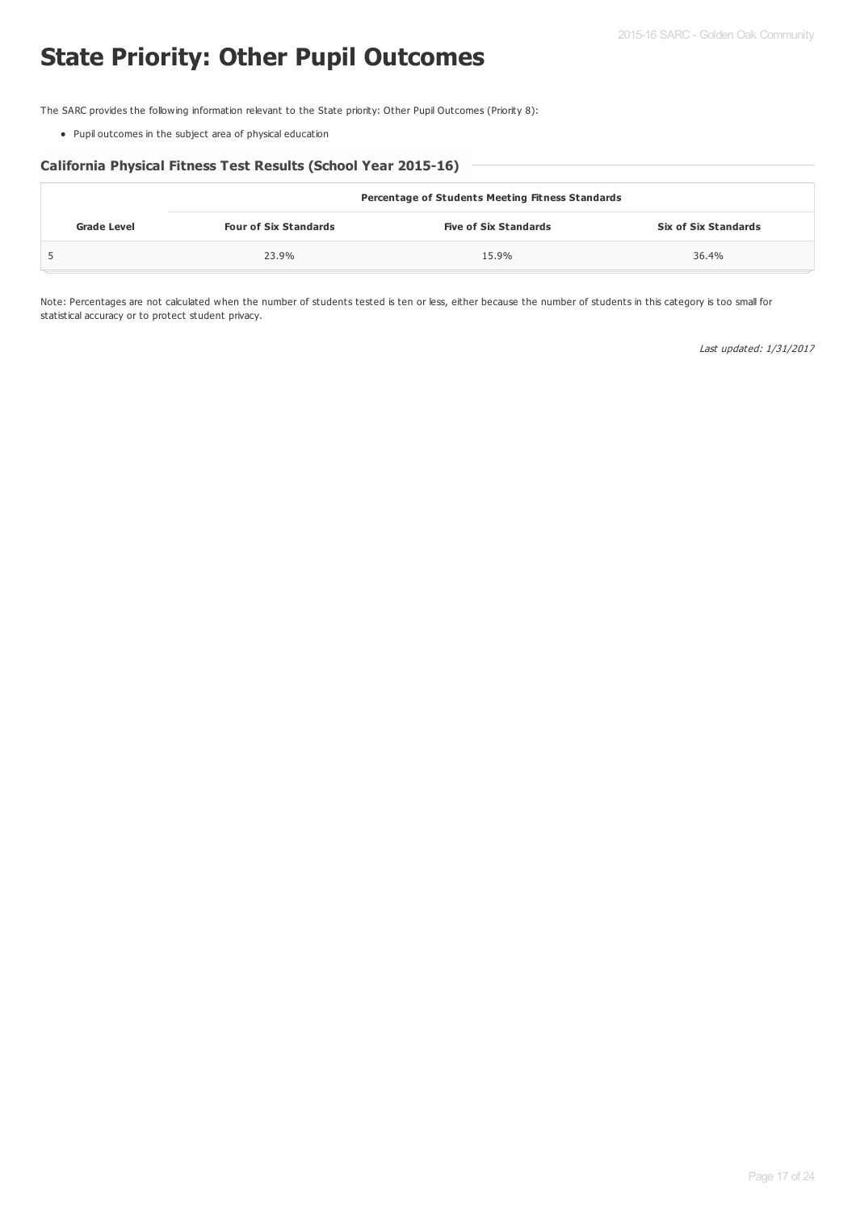# **State Priority: Other Pupil Outcomes**

The SARC provides the following information relevant to the State priority: Other Pupil Outcomes (Priority 8):

Pupil outcomes in the subject area of physical education

### **California Physical Fitness Test Results (School Year 2015-16)**

|             | <b>Percentage of Students Meeting Fitness Standards</b> |                              |                             |  |  |  |  |
|-------------|---------------------------------------------------------|------------------------------|-----------------------------|--|--|--|--|
| Grade Level | <b>Four of Six Standards</b>                            | <b>Five of Six Standards</b> | <b>Six of Six Standards</b> |  |  |  |  |
|             | 23.9%                                                   | 15.9%                        | 36.4%                       |  |  |  |  |

Note: Percentages are not calculated when the number of students tested is ten or less, either because the number of students in this category is too small for statistical accuracy or to protect student privacy.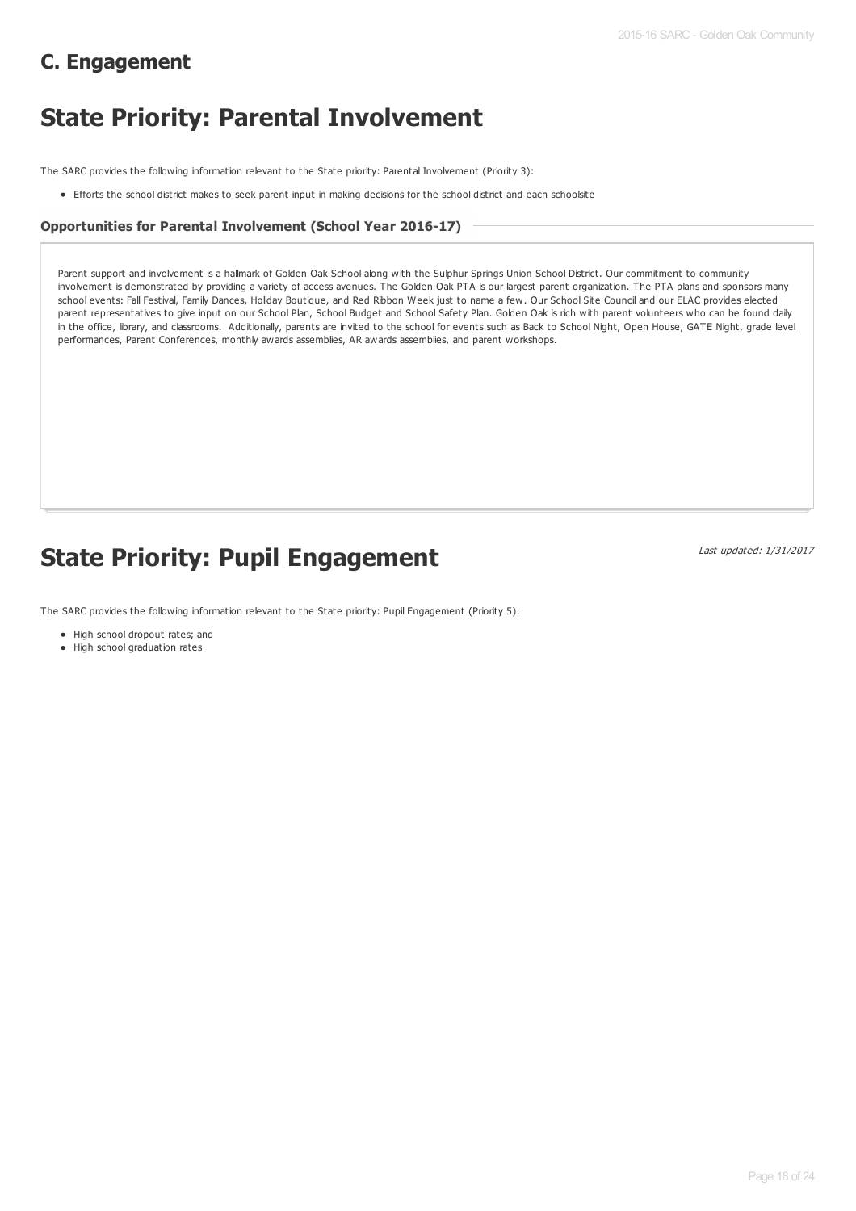# **C. Engagement**

# **State Priority: Parental Involvement**

The SARC provides the following information relevant to the State priority: Parental Involvement (Priority 3):

Efforts the school district makes to seek parent input in making decisions for the school district and each schoolsite

#### **Opportunities for Parental Involvement (School Year 2016-17)**

Parent support and involvement is a hallmark of Golden Oak School along with the Sulphur Springs Union School District. Our commitment to community involvement is demonstrated by providing a variety of access avenues. The Golden Oak PTA is our largest parent organization. The PTA plans and sponsors many school events: Fall Festival, Family Dances, Holiday Boutique, and Red Ribbon Week just to name a few. Our School Site Council and our ELAC provides elected parent representatives to give input on our School Plan, School Budget and School Safety Plan. Golden Oak is rich with parent volunteers who can be found daily in the office, library, and classrooms. Additionally, parents are invited to the school for events such as Back to School Night, Open House, GATE Night, grade level performances, Parent Conferences, monthly awards assemblies, AR awards assemblies, and parent workshops.

# **State Priority: Pupil Engagement**

Last updated: 1/31/2017

The SARC provides the following information relevant to the State priority: Pupil Engagement (Priority 5):

#### • High school dropout rates; and

• High school graduation rates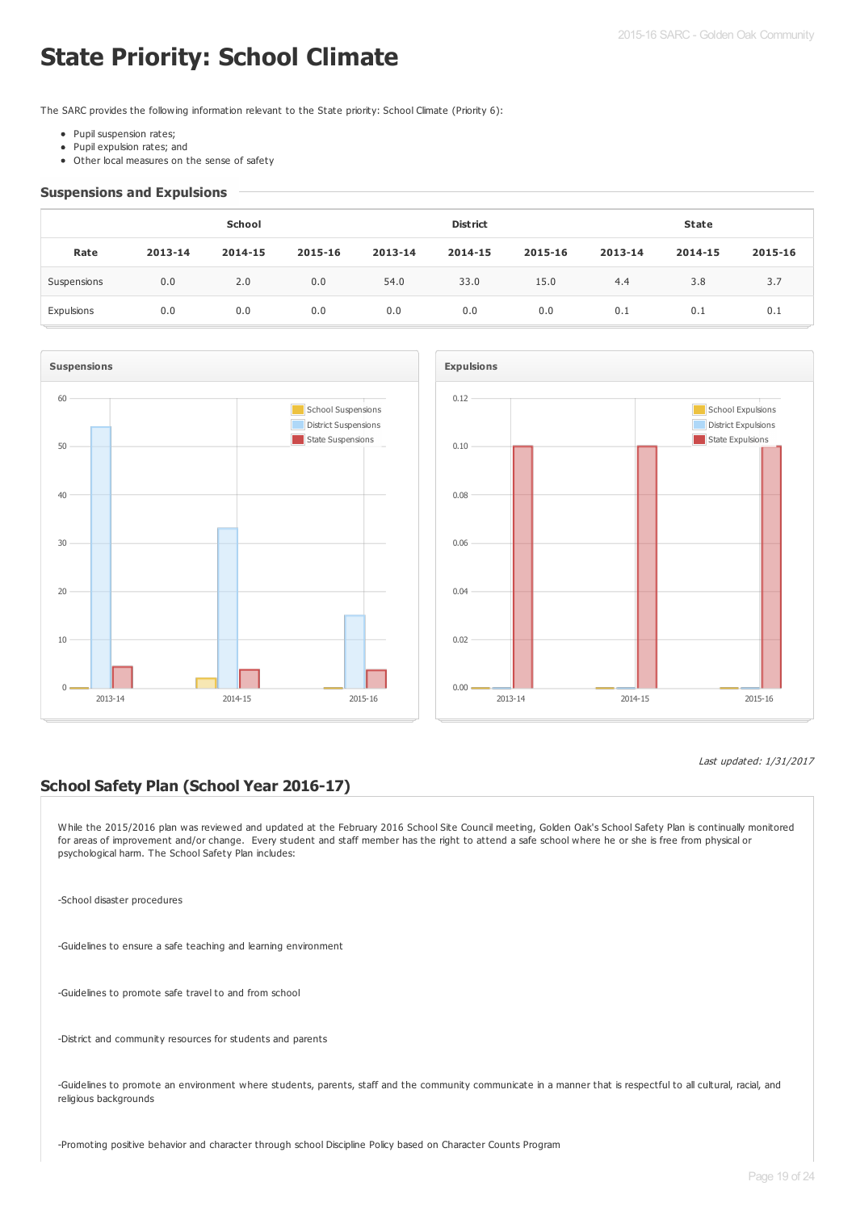# **State Priority: School Climate**

The SARC provides the following information relevant to the State priority: School Climate (Priority 6):

- Pupil suspension rates;
- Pupil expulsion rates; and
- Other local measures on the sense of safety

#### **Suspensions and Expulsions**

|             |         | School  |         |         | <b>District</b> |         |         | <b>State</b> |         |
|-------------|---------|---------|---------|---------|-----------------|---------|---------|--------------|---------|
| Rate        | 2013-14 | 2014-15 | 2015-16 | 2013-14 | 2014-15         | 2015-16 | 2013-14 | 2014-15      | 2015-16 |
| Suspensions | 0.0     | 2.0     | 0.0     | 54.0    | 33.0            | 15.0    | 4.4     | 3.8          | 3.7     |
| Expulsions  | 0.0     | 0.0     | 0.0     | 0.0     | 0.0             | 0.0     | 0.1     | 0.1          | 0.1     |





#### Last updated: 1/31/2017

# **School Safety Plan (School Year 2016-17)**

While the 2015/2016 plan was reviewed and updated at the February 2016 School Site Council meeting, Golden Oak's School Safety Plan is continually monitored for areas of improvement and/or change. Every student and staff member has the right to attend a safe school where he or she is free from physical or psychological harm. The School Safety Plan includes:

-School disaster procedures

-Guidelines to ensure a safe teaching and learning environment

-Guidelines to promote safe travel to and from school

-District and community resources for students and parents

-Guidelines to promote an environment where students, parents, staff and the community communicate in a manner that is respectful to all cultural, racial, and religious backgrounds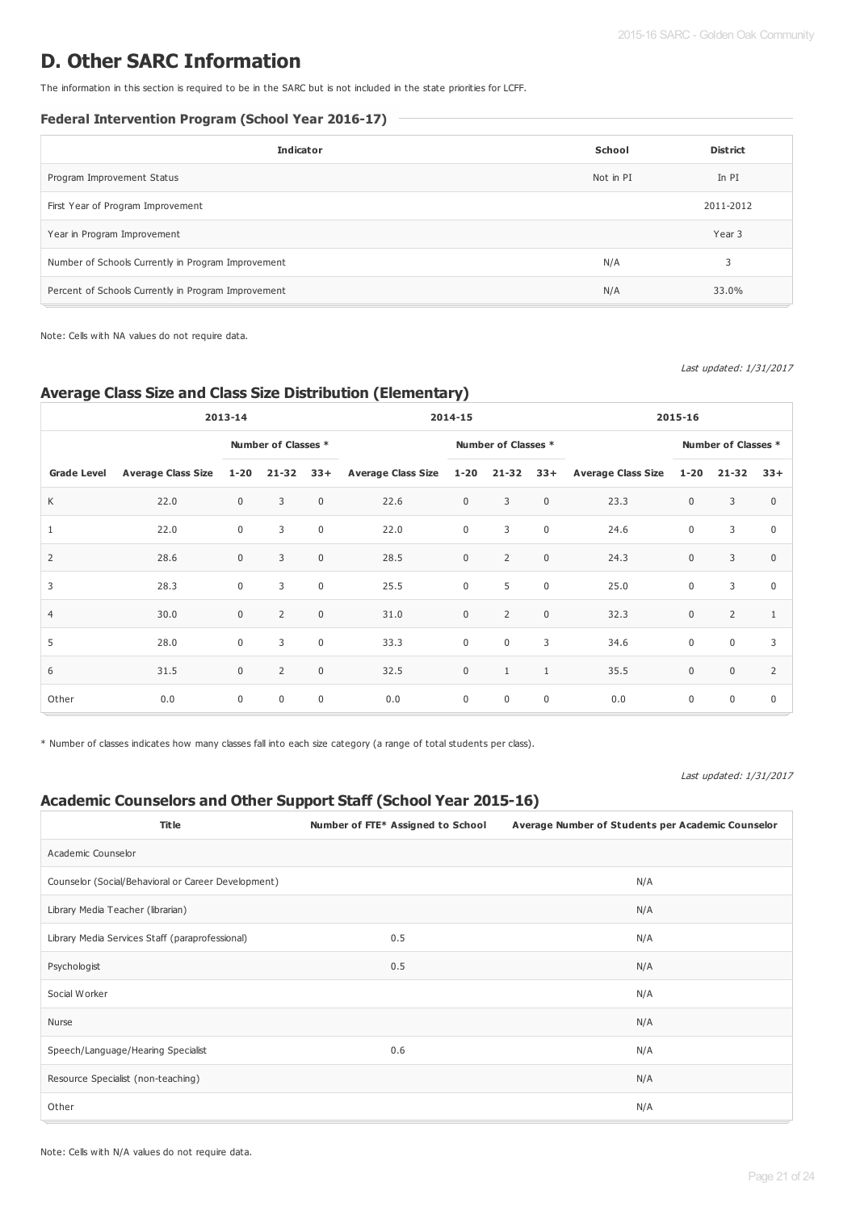# **D. Other SARC Information**

The information in this section is required to be in the SARC but is not included in the state priorities for LCFF.

## **Federal Intervention Program (School Year 2016-17)**

| <b>Indicator</b>                                    | School    | <b>District</b> |
|-----------------------------------------------------|-----------|-----------------|
| Program Improvement Status                          | Not in PI | In PI           |
| First Year of Program Improvement                   |           | 2011-2012       |
| Year in Program Improvement                         |           | Year 3          |
| Number of Schools Currently in Program Improvement  | N/A       | 3               |
| Percent of Schools Currently in Program Improvement | N/A       | 33.0%           |

Note: Cells with NA values do not require data.

Last updated: 1/31/2017

# **Average Class Size and Class Size Distribution (Elementary)**

|                    | 2013-14                   |                     |                | 2014-15      |                               |                     |                | 2015-16     |                        |                     |                |              |
|--------------------|---------------------------|---------------------|----------------|--------------|-------------------------------|---------------------|----------------|-------------|------------------------|---------------------|----------------|--------------|
|                    |                           | Number of Classes * |                |              |                               | Number of Classes * |                |             |                        | Number of Classes * |                |              |
| <b>Grade Level</b> | <b>Average Class Size</b> | $1 - 20$            | $21 - 32$      | $33+$        | Average Class Size 1-20 21-32 |                     |                |             | 33+ Average Class Size | $1 - 20$            | $21 - 32$      | $33+$        |
| K                  | 22.0                      | $\mathbf{0}$        | 3              | $\mathbf 0$  | 22.6                          | $\mathbf 0$         | 3              | $\mathsf 0$ | 23.3                   | $\mathbf 0$         | 3              | $\Omega$     |
| $\mathbf{1}$       | 22.0                      | $\mathbf 0$         | 3              | $\mathbf 0$  | 22.0                          | $\boldsymbol{0}$    | 3              | $\mathsf 0$ | 24.6                   | $\mathbf 0$         | 3              | $\mathbf 0$  |
| $\overline{2}$     | 28.6                      | $\mathbf{0}$        | 3              | $\mathbf{0}$ | 28.5                          | $\mathsf 0$         | $\overline{2}$ | $\mathsf 0$ | 24.3                   | $\mathbf{0}$        | 3              | $\mathbf{0}$ |
| 3                  | 28.3                      | $\mathbf 0$         | 3              | $\mathbf 0$  | 25.5                          | $\boldsymbol{0}$    | 5              | $\mathsf 0$ | 25.0                   | $\mathbf 0$         | 3              | $\mathbf 0$  |
| $\overline{4}$     | 30.0                      | $\mathbf{0}$        | $\overline{2}$ | $\mathbf{0}$ | 31.0                          | $\mathbf{0}$        | $\overline{2}$ | $\mathsf 0$ | 32.3                   | $\mathbf 0$         | $\overline{2}$ | 1            |
| 5                  | 28.0                      | $\Omega$            | 3              | $\mathbf 0$  | 33.3                          | $\mathbf 0$         | $\mathbf 0$    | 3           | 34.6                   | $\mathbf 0$         | $\mathbf 0$    | 3            |
| 6                  | 31.5                      | $\mathbf{0}$        | $\overline{2}$ | $\mathbf{0}$ | 32.5                          | $\mathsf 0$         | $\mathbf{1}$   | 1           | 35.5                   | $\mathbf 0$         | $\mathbf 0$    | 2            |
| Other              | 0.0                       | $\mathbf 0$         | $\mathbf{0}$   | $\mathbf 0$  | 0.0                           | $\mathbf 0$         | $\mathbf 0$    | $\mathsf 0$ | 0.0                    | 0                   | $\mathbf 0$    | $\mathbf 0$  |

\* Number of classes indicates how many classes fall into each size category (a range of total students per class).

Last updated: 1/31/2017

# **Academic Counselors and Other Support Staff (School Year 2015-16)**

| <b>Title</b>                                        | Number of FTE* Assigned to School | Average Number of Students per Academic Counselor |
|-----------------------------------------------------|-----------------------------------|---------------------------------------------------|
| Academic Counselor                                  |                                   |                                                   |
| Counselor (Social/Behavioral or Career Development) |                                   | N/A                                               |
| Library Media Teacher (librarian)                   |                                   | N/A                                               |
| Library Media Services Staff (paraprofessional)     | 0.5                               | N/A                                               |
| Psychologist                                        | 0.5                               | N/A                                               |
| Social Worker                                       |                                   | N/A                                               |
| Nurse                                               |                                   | N/A                                               |
| Speech/Language/Hearing Specialist                  | 0.6                               | N/A                                               |
| Resource Specialist (non-teaching)                  |                                   | N/A                                               |
| Other                                               |                                   | N/A                                               |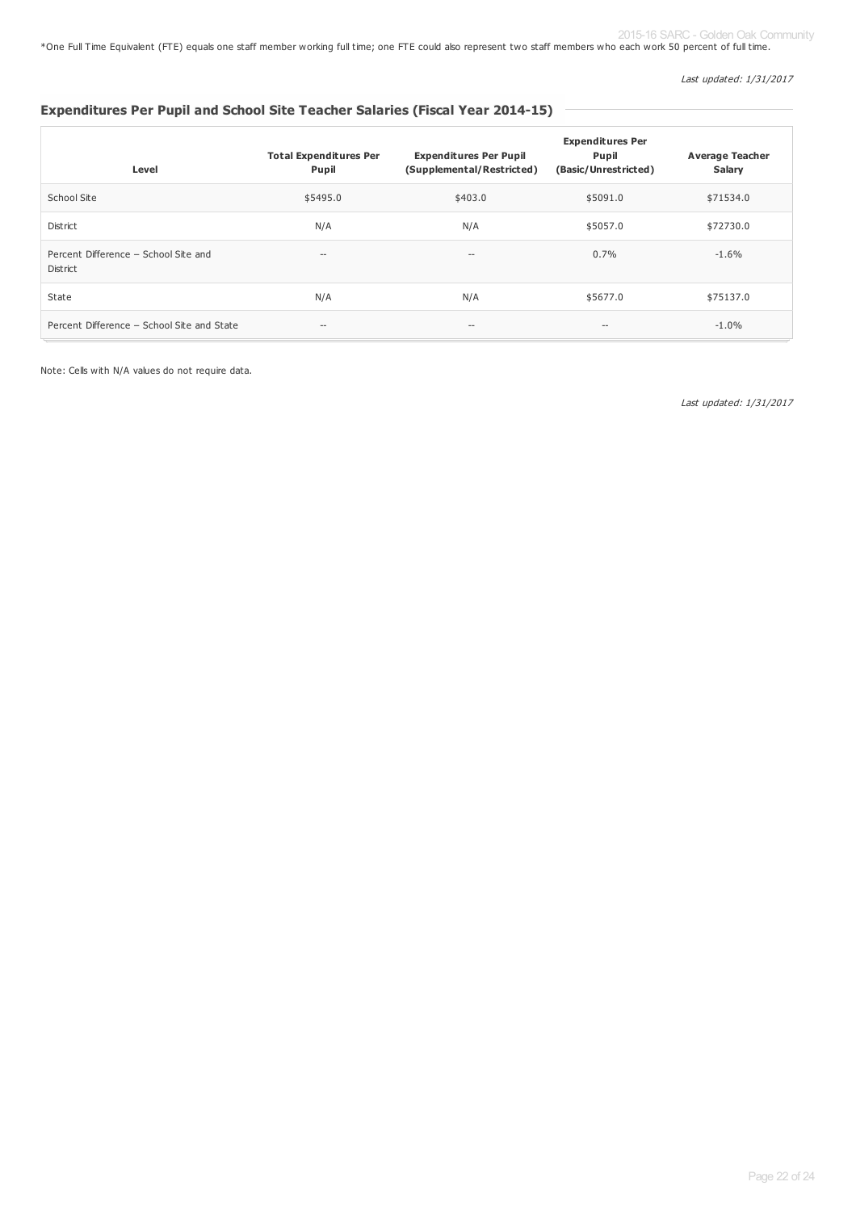\*One Full Time Equivalent (FTE) equals one staff member working full time; one FTE could also represent two staff members who each work 50 percent of full time. 2015-16 SARC - Golden Oak Community

Last updated: 1/31/2017

# **Expenditures Per Pupil and School Site Teacher Salaries (Fiscal Year 2014-15)**

| Level                                            | <b>Total Expenditures Per</b><br>Pupil | <b>Expenditures Per Pupil</b><br>(Supplemental/Restricted) | <b>Expenditures Per</b><br>Pupil<br>(Basic/Unrestricted) | <b>Average Teacher</b><br>Salary |
|--------------------------------------------------|----------------------------------------|------------------------------------------------------------|----------------------------------------------------------|----------------------------------|
| School Site                                      | \$5495.0                               | \$403.0                                                    | \$5091.0                                                 | \$71534.0                        |
| District                                         | N/A                                    | N/A                                                        | \$5057.0                                                 | \$72730.0                        |
| Percent Difference - School Site and<br>District | $--$                                   | $-\,$                                                      | $0.7\%$                                                  | $-1.6\%$                         |
| State                                            | N/A                                    | N/A                                                        | \$5677.0                                                 | \$75137.0                        |
| Percent Difference - School Site and State       | $-\, -$                                | $\hspace{0.05cm} \ldots$                                   | --                                                       | $-1.0%$                          |

Note: Cells with N/A values do not require data.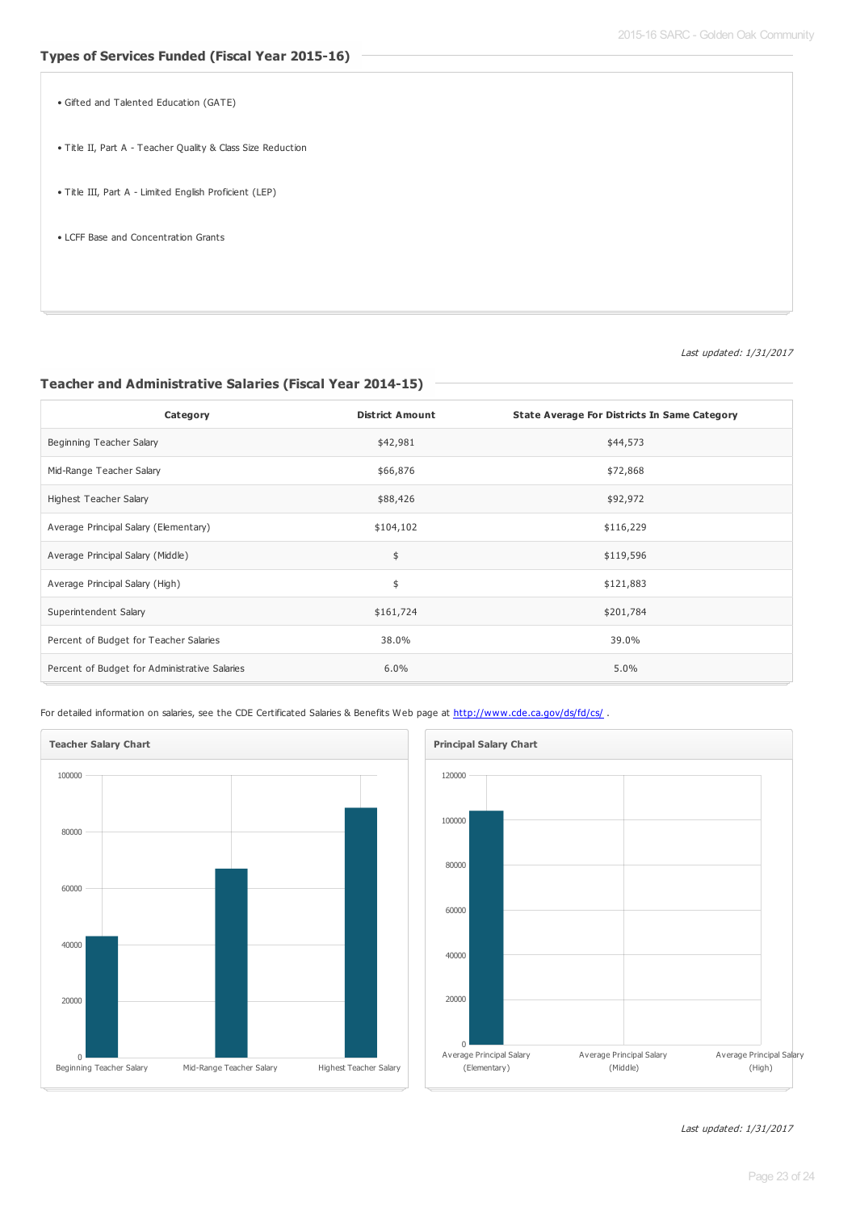• Gifted and Talented Education (GATE)

- Title II, Part A Teacher Quality & Class Size Reduction
- Title III, Part A Limited English Proficient (LEP)
- LCFF Base and Concentration Grants

Last updated: 1/31/2017

#### **Teacher and Administrative Salaries (Fiscal Year 2014-15)**

| Category                                      | <b>District Amount</b> | <b>State Average For Districts In Same Category</b> |
|-----------------------------------------------|------------------------|-----------------------------------------------------|
| Beginning Teacher Salary                      | \$42,981               | \$44,573                                            |
| Mid-Range Teacher Salary                      | \$66,876               | \$72,868                                            |
| <b>Highest Teacher Salary</b>                 | \$88,426               | \$92,972                                            |
| Average Principal Salary (Elementary)         | \$104,102              | \$116,229                                           |
| Average Principal Salary (Middle)             | \$                     | \$119,596                                           |
| Average Principal Salary (High)               | \$                     | \$121,883                                           |
| Superintendent Salary                         | \$161,724              | \$201,784                                           |
| Percent of Budget for Teacher Salaries        | 38.0%                  | 39.0%                                               |
| Percent of Budget for Administrative Salaries | 6.0%                   | 5.0%                                                |

For detailed information on salaries, see the CDE Certificated Salaries & Benefits Web page at <http://www.cde.ca.gov/ds/fd/cs/> .